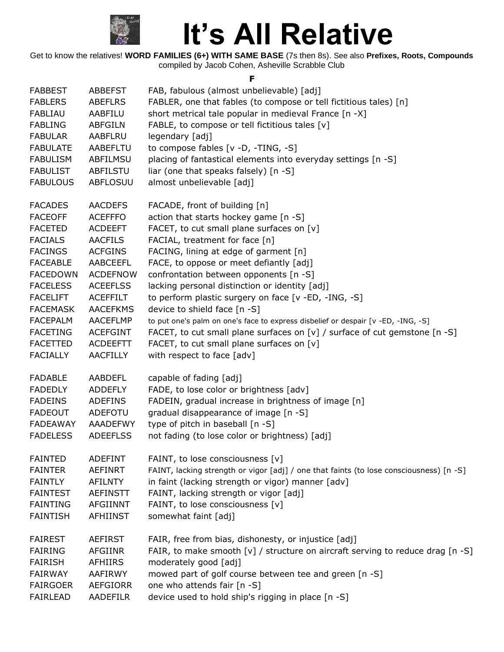

Get to know the relatives! **WORD FAMILIES (6+) WITH SAME BASE** (7s then 8s). See also **Prefixes, Roots, Compounds** compiled by Jacob Cohen, Asheville Scrabble Club

**F**

| <b>FABBEST</b>  | <b>ABBEFST</b>  | FAB, fabulous (almost unbelievable) [adj]                                               |
|-----------------|-----------------|-----------------------------------------------------------------------------------------|
| <b>FABLERS</b>  | <b>ABEFLRS</b>  | FABLER, one that fables (to compose or tell fictitious tales) [n]                       |
| <b>FABLIAU</b>  | AABFILU         | short metrical tale popular in medieval France [n -X]                                   |
| <b>FABLING</b>  | <b>ABFGILN</b>  | FABLE, to compose or tell fictitious tales [v]                                          |
| <b>FABULAR</b>  | AABFLRU         | legendary [adj]                                                                         |
| <b>FABULATE</b> | AABEFLTU        | to compose fables [v -D, -TING, -S]                                                     |
| <b>FABULISM</b> | ABFILMSU        | placing of fantastical elements into everyday settings [n -S]                           |
| <b>FABULIST</b> | <b>ABFILSTU</b> | liar (one that speaks falsely) [n -S]                                                   |
| <b>FABULOUS</b> | <b>ABFLOSUU</b> | almost unbelievable [adj]                                                               |
| <b>FACADES</b>  | <b>AACDEFS</b>  | FACADE, front of building [n]                                                           |
| <b>FACEOFF</b>  | <b>ACEFFFO</b>  | action that starts hockey game [n -S]                                                   |
| <b>FACETED</b>  | <b>ACDEEFT</b>  | FACET, to cut small plane surfaces on [v]                                               |
| <b>FACIALS</b>  | <b>AACFILS</b>  | FACIAL, treatment for face [n]                                                          |
| <b>FACINGS</b>  | <b>ACFGINS</b>  | FACING, lining at edge of garment [n]                                                   |
| <b>FACEABLE</b> | <b>AABCEEFL</b> | FACE, to oppose or meet defiantly [adj]                                                 |
| <b>FACEDOWN</b> | <b>ACDEFNOW</b> | confrontation between opponents [n -S]                                                  |
| <b>FACELESS</b> | <b>ACEEFLSS</b> | lacking personal distinction or identity [adj]                                          |
| <b>FACELIFT</b> | <b>ACEFFILT</b> | to perform plastic surgery on face [v -ED, -ING, -S]                                    |
| <b>FACEMASK</b> | <b>AACEFKMS</b> | device to shield face [n -S]                                                            |
| <b>FACEPALM</b> | <b>AACEFLMP</b> | to put one's palm on one's face to express disbelief or despair [v -ED, -ING, -S]       |
| <b>FACETING</b> | <b>ACEFGINT</b> | FACET, to cut small plane surfaces on $[v]$ / surface of cut gemstone $[n - S]$         |
| <b>FACETTED</b> | <b>ACDEEFTT</b> | FACET, to cut small plane surfaces on [v]                                               |
| <b>FACIALLY</b> | AACFILLY        | with respect to face [adv]                                                              |
| <b>FADABLE</b>  | <b>AABDEFL</b>  | capable of fading [adj]                                                                 |
| <b>FADEDLY</b>  | <b>ADDEFLY</b>  | FADE, to lose color or brightness [adv]                                                 |
| <b>FADEINS</b>  | <b>ADEFINS</b>  | FADEIN, gradual increase in brightness of image [n]                                     |
| <b>FADEOUT</b>  | ADEFOTU         | gradual disappearance of image [n -S]                                                   |
| FADEAWAY        | AAADEFWY        | type of pitch in baseball [n -S]                                                        |
| <b>FADELESS</b> | <b>ADEEFLSS</b> | not fading (to lose color or brightness) [adj]                                          |
| <b>FAINTED</b>  | <b>ADEFINT</b>  | FAINT, to lose consciousness [v]                                                        |
| <b>FAINTER</b>  | AEFINRT         | FAINT, lacking strength or vigor [adj] / one that faints (to lose consciousness) [n -S] |
| <b>FAINTLY</b>  | <b>AFILNTY</b>  | in faint (lacking strength or vigor) manner [adv]                                       |
| <b>FAINTEST</b> | <b>AEFINSTT</b> | FAINT, lacking strength or vigor [adj]                                                  |
| <b>FAINTING</b> | <b>AFGIINNT</b> | FAINT, to lose consciousness [v]                                                        |
| <b>FAINTISH</b> | AFHIINST        | somewhat faint [adj]                                                                    |
| <b>FAIREST</b>  | <b>AEFIRST</b>  | FAIR, free from bias, dishonesty, or injustice [adj]                                    |
| <b>FAIRING</b>  | <b>AFGIINR</b>  | FAIR, to make smooth [v] / structure on aircraft serving to reduce drag [n -S]          |
| <b>FAIRISH</b>  | AFHIIRS         | moderately good [adj]                                                                   |
| <b>FAIRWAY</b>  | AAFIRWY         | mowed part of golf course between tee and green [n -S]                                  |
| <b>FAIRGOER</b> | <b>AEFGIORR</b> | one who attends fair [n -S]                                                             |
| FAIRLEAD        | AADEFILR        | device used to hold ship's rigging in place [n -S]                                      |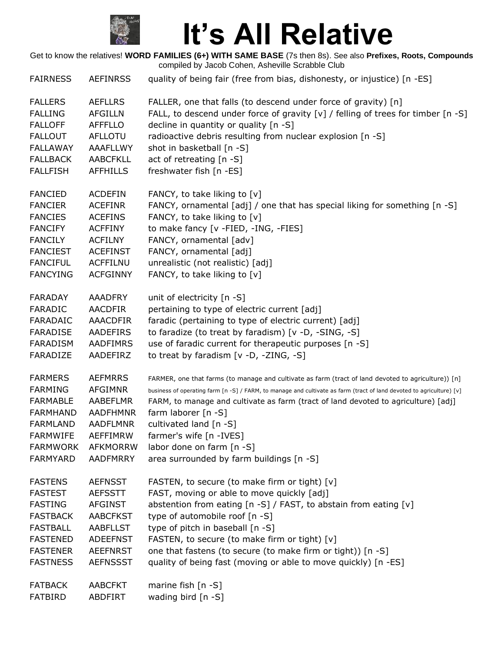

Get to know the relatives! **WORD FAMILIES (6+) WITH SAME BASE** (7s then 8s). See also **Prefixes, Roots, Compounds** compiled by Jacob Cohen, Asheville Scrabble Club  $F_{\text{ADNIECC}}$  AEFINDCC quality of being fair (free from bias, dishonesty, or injustice) [n -ES]

| <b>FAIRNESS</b> | ALFINKSS        | quality of being fair (free from bias, dishonesty, or injustice) [n -ES]                                             |
|-----------------|-----------------|----------------------------------------------------------------------------------------------------------------------|
| <b>FALLERS</b>  | <b>AEFLLRS</b>  | FALLER, one that falls (to descend under force of gravity) [n]                                                       |
| <b>FALLING</b>  | <b>AFGILLN</b>  | FALL, to descend under force of gravity [v] / felling of trees for timber [n -S]                                     |
| <b>FALLOFF</b>  | <b>AFFFLLO</b>  | decline in quantity or quality [n -S]                                                                                |
| <b>FALLOUT</b>  | <b>AFLLOTU</b>  | radioactive debris resulting from nuclear explosion [n -S]                                                           |
| <b>FALLAWAY</b> | <b>AAAFLLWY</b> | shot in basketball [n -S]                                                                                            |
| <b>FALLBACK</b> | <b>AABCFKLL</b> | act of retreating [n -S]                                                                                             |
| <b>FALLFISH</b> | <b>AFFHILLS</b> | freshwater fish [n -ES]                                                                                              |
| <b>FANCIED</b>  | <b>ACDEFIN</b>  | FANCY, to take liking to [v]                                                                                         |
| <b>FANCIER</b>  | <b>ACEFINR</b>  | FANCY, ornamental [adj] / one that has special liking for something [n -S]                                           |
| <b>FANCIES</b>  | <b>ACEFINS</b>  | FANCY, to take liking to [v]                                                                                         |
| <b>FANCIFY</b>  | <b>ACFFINY</b>  | to make fancy [v -FIED, -ING, -FIES]                                                                                 |
| <b>FANCILY</b>  | <b>ACFILNY</b>  | FANCY, ornamental [adv]                                                                                              |
| <b>FANCIEST</b> | <b>ACEFINST</b> | FANCY, ornamental [adj]                                                                                              |
| <b>FANCIFUL</b> | <b>ACFFILNU</b> | unrealistic (not realistic) [adj]                                                                                    |
| <b>FANCYING</b> | <b>ACFGINNY</b> | FANCY, to take liking to [v]                                                                                         |
| <b>FARADAY</b>  | <b>AAADFRY</b>  | unit of electricity [n -S]                                                                                           |
| <b>FARADIC</b>  | <b>AACDFIR</b>  | pertaining to type of electric current [adj]                                                                         |
| FARADAIC        | <b>AAACDFIR</b> | faradic (pertaining to type of electric current) [adj]                                                               |
| <b>FARADISE</b> | <b>AADEFIRS</b> | to faradize (to treat by faradism) [v -D, -SING, -S]                                                                 |
| <b>FARADISM</b> | <b>AADFIMRS</b> | use of faradic current for therapeutic purposes [n -S]                                                               |
| FARADIZE        | AADEFIRZ        | to treat by faradism $[v -D, -ZING, -S]$                                                                             |
| <b>FARMERS</b>  | <b>AEFMRRS</b>  | FARMER, one that farms (to manage and cultivate as farm (tract of land devoted to agriculture)) [n]                  |
| <b>FARMING</b>  | <b>AFGIMNR</b>  | business of operating farm [n -S] / FARM, to manage and cultivate as farm (tract of land devoted to agriculture) [v] |
| <b>FARMABLE</b> | <b>AABEFLMR</b> | FARM, to manage and cultivate as farm (tract of land devoted to agriculture) [adj]                                   |
| <b>FARMHAND</b> | <b>AADFHMNR</b> | farm laborer [n -S]                                                                                                  |
| <b>FARMLAND</b> | <b>AADFLMNR</b> | cultivated land [n -S]                                                                                               |
| <b>FARMWIFE</b> | <b>AEFFIMRW</b> | farmer's wife [n -IVES]                                                                                              |
| FARMWORK        | AFKMORRW        | labor done on farm $[n - S]$                                                                                         |
| FARMYARD        | <b>AADFMRRY</b> | area surrounded by farm buildings [n -S]                                                                             |
| <b>FASTENS</b>  | <b>AEFNSST</b>  | FASTEN, to secure (to make firm or tight) [v]                                                                        |
| <b>FASTEST</b>  | <b>AEFSSTT</b>  | FAST, moving or able to move quickly [adj]                                                                           |
| <b>FASTING</b>  | <b>AFGINST</b>  | abstention from eating [n -S] / FAST, to abstain from eating [v]                                                     |
| <b>FASTBACK</b> | <b>AABCFKST</b> | type of automobile roof [n -S]                                                                                       |
| <b>FASTBALL</b> | <b>AABFLLST</b> | type of pitch in baseball [n -S]                                                                                     |
| <b>FASTENED</b> | <b>ADEEFNST</b> | FASTEN, to secure (to make firm or tight) [v]                                                                        |
| <b>FASTENER</b> | <b>AEEFNRST</b> | one that fastens (to secure (to make firm or tight)) [n -S]                                                          |
| <b>FASTNESS</b> | <b>AEFNSSST</b> | quality of being fast (moving or able to move quickly) [n -ES]                                                       |
| <b>FATBACK</b>  | <b>AABCFKT</b>  | marine fish $[n - S]$                                                                                                |
| FATBIRD         | ABDFIRT         | wading bird [n -S]                                                                                                   |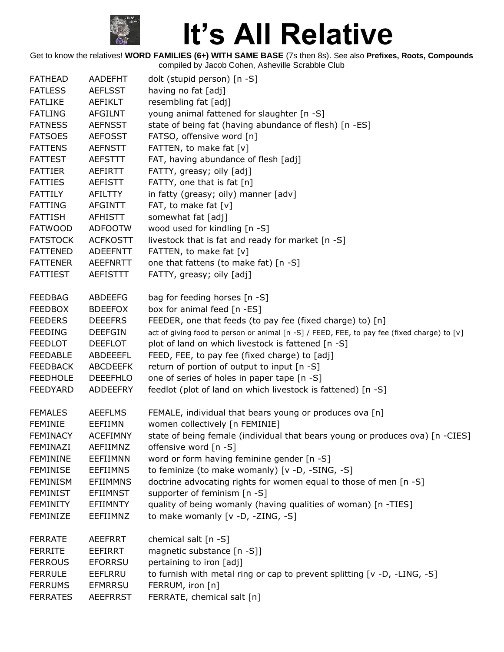

| <b>FATHEAD</b>  | AADEFHT         | dolt (stupid person) [n -S]                                                                 |
|-----------------|-----------------|---------------------------------------------------------------------------------------------|
| <b>FATLESS</b>  | <b>AEFLSST</b>  | having no fat [adj]                                                                         |
| <b>FATLIKE</b>  | AEFIKLT         | resembling fat [adj]                                                                        |
| <b>FATLING</b>  | <b>AFGILNT</b>  | young animal fattened for slaughter [n -S]                                                  |
| <b>FATNESS</b>  | <b>AEFNSST</b>  | state of being fat (having abundance of flesh) [n -ES]                                      |
| <b>FATSOES</b>  | <b>AEFOSST</b>  | FATSO, offensive word [n]                                                                   |
| <b>FATTENS</b>  | <b>AEFNSTT</b>  | FATTEN, to make fat [v]                                                                     |
| <b>FATTEST</b>  | <b>AEFSTTT</b>  | FAT, having abundance of flesh [adj]                                                        |
| <b>FATTIER</b>  | AEFIRTT         | FATTY, greasy; oily [adj]                                                                   |
| <b>FATTIES</b>  | <b>AEFISTT</b>  | FATTY, one that is fat [n]                                                                  |
| <b>FATTILY</b>  | <b>AFILTTY</b>  | in fatty (greasy; oily) manner [adv]                                                        |
| <b>FATTING</b>  | <b>AFGINTT</b>  | FAT, to make fat [v]                                                                        |
| <b>FATTISH</b>  | <b>AFHISTT</b>  | somewhat fat [adj]                                                                          |
| <b>FATWOOD</b>  | <b>ADFOOTW</b>  | wood used for kindling [n -S]                                                               |
| <b>FATSTOCK</b> | <b>ACFKOSTT</b> | livestock that is fat and ready for market [n -S]                                           |
| <b>FATTENED</b> | <b>ADEEFNTT</b> | FATTEN, to make fat [v]                                                                     |
| <b>FATTENER</b> | <b>AEEFNRTT</b> | one that fattens (to make fat) [n -S]                                                       |
| <b>FATTIEST</b> | <b>AEFISTTT</b> | FATTY, greasy; oily [adj]                                                                   |
| <b>FEEDBAG</b>  | <b>ABDEEFG</b>  | bag for feeding horses [n -S]                                                               |
| <b>FEEDBOX</b>  | <b>BDEEFOX</b>  | box for animal feed [n -ES]                                                                 |
| <b>FEEDERS</b>  | <b>DEEEFRS</b>  | FEEDER, one that feeds (to pay fee (fixed charge) to) [n]                                   |
| <b>FEEDING</b>  | <b>DEEFGIN</b>  | act of giving food to person or animal [n -S] / FEED, FEE, to pay fee (fixed charge) to [v] |
| <b>FEEDLOT</b>  | <b>DEEFLOT</b>  | plot of land on which livestock is fattened [n -S]                                          |
| <b>FEEDABLE</b> | ABDEEEFL        | FEED, FEE, to pay fee (fixed charge) to [adj]                                               |
| <b>FEEDBACK</b> | <b>ABCDEEFK</b> | return of portion of output to input [n -S]                                                 |
| <b>FEEDHOLE</b> | <b>DEEEFHLO</b> | one of series of holes in paper tape [n -S]                                                 |
| <b>FEEDYARD</b> | <b>ADDEEFRY</b> | feedlot (plot of land on which livestock is fattened) [n -S]                                |
| <b>FEMALES</b>  | <b>AEEFLMS</b>  | FEMALE, individual that bears young or produces ova [n]                                     |
| <b>FEMINIE</b>  | EEFIIMN         | women collectively [n FEMINIE]                                                              |
| <b>FEMINACY</b> | <b>ACEFIMNY</b> | state of being female (individual that bears young or produces ova) [n -CIES]               |
| FEMINAZI        | AEFIIMNZ        | offensive word [n -S]                                                                       |
| <b>FEMININE</b> | EEFIIMNN        | word or form having feminine gender [n -S]                                                  |
| <b>FEMINISE</b> | <b>EEFIIMNS</b> | to feminize (to make womanly) [v -D, -SING, -S]                                             |
| <b>FEMINISM</b> | <b>EFIIMMNS</b> | doctrine advocating rights for women equal to those of men [n -S]                           |
| <b>FEMINIST</b> | <b>EFIIMNST</b> | supporter of feminism [n -S]                                                                |
| <b>FEMINITY</b> | EFIIMNTY        | quality of being womanly (having qualities of woman) [n -TIES]                              |
| FEMINIZE        | EEFIIMNZ        | to make womanly [v -D, -ZING, -S]                                                           |
| <b>FERRATE</b>  | AEEFRRT         | chemical salt [n -S]                                                                        |
| <b>FERRITE</b>  | EEFIRRT         | magnetic substance [n -S]]                                                                  |
| <b>FERROUS</b>  | <b>EFORRSU</b>  | pertaining to iron [adj]                                                                    |
| <b>FERRULE</b>  | EEFLRRU         | to furnish with metal ring or cap to prevent splitting [v -D, -LING, -S]                    |
| <b>FERRUMS</b>  | <b>EFMRRSU</b>  | FERRUM, iron [n]                                                                            |
| <b>FERRATES</b> | <b>AEEFRRST</b> | FERRATE, chemical salt [n]                                                                  |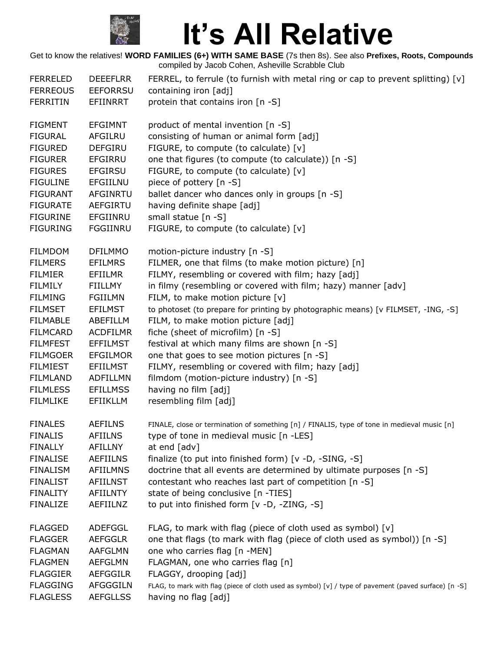

| <b>FERRELED</b><br><b>FERREOUS</b><br><b>FERRITIN</b> | <b>DEEEFLRR</b><br><b>EEFORRSU</b><br><b>EFIINRRT</b> | FERREL, to ferrule (to furnish with metal ring or cap to prevent splitting) $[v]$<br>containing iron [adj]<br>protein that contains iron [n -S] |
|-------------------------------------------------------|-------------------------------------------------------|-------------------------------------------------------------------------------------------------------------------------------------------------|
| <b>FIGMENT</b><br><b>FIGURAL</b>                      | <b>EFGIMNT</b><br><b>AFGILRU</b>                      | product of mental invention [n -S]<br>consisting of human or animal form [adj]                                                                  |
| <b>FIGURED</b>                                        | <b>DEFGIRU</b>                                        | FIGURE, to compute (to calculate) [v]                                                                                                           |
| <b>FIGURER</b>                                        | <b>EFGIRRU</b>                                        | one that figures (to compute (to calculate)) [n -S]                                                                                             |
| <b>FIGURES</b>                                        | <b>EFGIRSU</b>                                        | FIGURE, to compute (to calculate) [v]                                                                                                           |
| <b>FIGULINE</b>                                       | <b>EFGIILNU</b>                                       | piece of pottery [n -S]                                                                                                                         |
| <b>FIGURANT</b>                                       | AFGINRTU                                              | ballet dancer who dances only in groups [n -S]                                                                                                  |
| <b>FIGURATE</b>                                       | AEFGIRTU                                              | having definite shape [adj]                                                                                                                     |
| <b>FIGURINE</b>                                       | EFGIINRU                                              | small statue [n -S]                                                                                                                             |
| <b>FIGURING</b>                                       | FGGIINRU                                              | FIGURE, to compute (to calculate) [v]                                                                                                           |
| <b>FILMDOM</b>                                        | <b>DFILMMO</b>                                        | motion-picture industry [n -S]                                                                                                                  |
| <b>FILMERS</b>                                        | <b>EFILMRS</b>                                        | FILMER, one that films (to make motion picture) [n]                                                                                             |
| <b>FILMIER</b>                                        | EFIILMR                                               | FILMY, resembling or covered with film; hazy [adj]                                                                                              |
| <b>FILMILY</b>                                        | FIILLMY                                               | in filmy (resembling or covered with film; hazy) manner [adv]                                                                                   |
| <b>FILMING</b>                                        | <b>FGIILMN</b>                                        | FILM, to make motion picture [v]                                                                                                                |
| <b>FILMSET</b>                                        | <b>EFILMST</b>                                        | to photoset (to prepare for printing by photographic means) [v FILMSET, -ING, -S]                                                               |
| <b>FILMABLE</b>                                       | ABEFILLM                                              | FILM, to make motion picture [adj]                                                                                                              |
| <b>FILMCARD</b>                                       | <b>ACDFILMR</b>                                       | fiche (sheet of microfilm) [n -S]                                                                                                               |
| <b>FILMFEST</b>                                       | <b>EFFILMST</b>                                       | festival at which many films are shown [n -S]                                                                                                   |
| <b>FILMGOER</b><br><b>FILMIEST</b>                    | <b>EFGILMOR</b><br><b>EFIILMST</b>                    | one that goes to see motion pictures [n -S]                                                                                                     |
| <b>FILMLAND</b>                                       | ADFILLMN                                              | FILMY, resembling or covered with film; hazy [adj]<br>filmdom (motion-picture industry) [n -S]                                                  |
| <b>FILMLESS</b>                                       | <b>EFILLMSS</b>                                       | having no film [adj]                                                                                                                            |
| <b>FILMLIKE</b>                                       | <b>EFIIKLLM</b>                                       | resembling film [adj]                                                                                                                           |
| <b>FINALES</b>                                        | <b>AEFILNS</b>                                        | FINALE, close or termination of something [n] / FINALIS, type of tone in medieval music [n]                                                     |
| <b>FINALIS</b>                                        | <b>AFIILNS</b>                                        | type of tone in medieval music [n -LES]                                                                                                         |
| <b>FINALLY</b>                                        | <b>AFILLNY</b>                                        | at end [adv]                                                                                                                                    |
| <b>FINALISE</b>                                       | <b>AEFIILNS</b>                                       | finalize (to put into finished form) [v -D, -SING, -S]                                                                                          |
| <b>FINALISM</b>                                       | <b>AFIILMNS</b>                                       | doctrine that all events are determined by ultimate purposes [n -S]                                                                             |
| <b>FINALIST</b>                                       | AFIILNST                                              | contestant who reaches last part of competition [n -S]                                                                                          |
| <b>FINALITY</b>                                       | <b>AFIILNTY</b>                                       | state of being conclusive [n -TIES]                                                                                                             |
| <b>FINALIZE</b>                                       | AEFIILNZ                                              | to put into finished form [v -D, -ZING, -S]                                                                                                     |
| <b>FLAGGED</b>                                        | ADEFGGL                                               | FLAG, to mark with flag (piece of cloth used as symbol) [v]                                                                                     |
| <b>FLAGGER</b>                                        | <b>AEFGGLR</b>                                        | one that flags (to mark with flag (piece of cloth used as symbol)) [n -S]                                                                       |
| <b>FLAGMAN</b>                                        | AAFGLMN                                               | one who carries flag [n -MEN]                                                                                                                   |
| <b>FLAGMEN</b>                                        | <b>AEFGLMN</b>                                        | FLAGMAN, one who carries flag [n]                                                                                                               |
| <b>FLAGGIER</b>                                       | <b>AEFGGILR</b>                                       | FLAGGY, drooping [adj]                                                                                                                          |
| <b>FLAGGING</b>                                       | AFGGGILN                                              | FLAG, to mark with flag (piece of cloth used as symbol) [v] / type of pavement (paved surface) [n -S]                                           |
| <b>FLAGLESS</b>                                       | <b>AEFGLLSS</b>                                       | having no flag [adj]                                                                                                                            |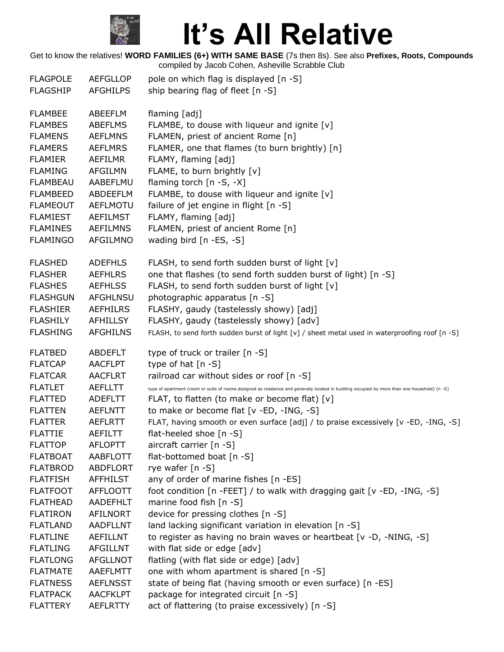

| <b>FLAGPOLE</b> | <b>AEFGLLOP</b> | pole on which flag is displayed [n -S]                                                                                                        |
|-----------------|-----------------|-----------------------------------------------------------------------------------------------------------------------------------------------|
| <b>FLAGSHIP</b> | <b>AFGHILPS</b> | ship bearing flag of fleet [n -S]                                                                                                             |
| <b>FLAMBEE</b>  | ABEEFLM         | flaming [adj]                                                                                                                                 |
| <b>FLAMBES</b>  | <b>ABEFLMS</b>  | FLAMBE, to douse with liqueur and ignite [v]                                                                                                  |
| <b>FLAMENS</b>  | <b>AEFLMNS</b>  | FLAMEN, priest of ancient Rome [n]                                                                                                            |
| <b>FLAMERS</b>  | <b>AEFLMRS</b>  | FLAMER, one that flames (to burn brightly) [n]                                                                                                |
| <b>FLAMIER</b>  | <b>AEFILMR</b>  | FLAMY, flaming [adj]                                                                                                                          |
| <b>FLAMING</b>  | <b>AFGILMN</b>  | FLAME, to burn brightly [v]                                                                                                                   |
| <b>FLAMBEAU</b> | AABEFLMU        | flaming torch [n -S, -X]                                                                                                                      |
| <b>FLAMBEED</b> | ABDEEFLM        | FLAMBE, to douse with liqueur and ignite [v]                                                                                                  |
| <b>FLAMEOUT</b> | <b>AEFLMOTU</b> | failure of jet engine in flight [n -S]                                                                                                        |
| <b>FLAMIEST</b> | <b>AEFILMST</b> | FLAMY, flaming [adj]                                                                                                                          |
| <b>FLAMINES</b> | <b>AEFILMNS</b> | FLAMEN, priest of ancient Rome [n]                                                                                                            |
| <b>FLAMINGO</b> | AFGILMNO        | wading bird [n -ES, -S]                                                                                                                       |
| <b>FLASHED</b>  | <b>ADEFHLS</b>  | FLASH, to send forth sudden burst of light [v]                                                                                                |
| <b>FLASHER</b>  | <b>AEFHLRS</b>  | one that flashes (to send forth sudden burst of light) [n -S]                                                                                 |
| <b>FLASHES</b>  | <b>AEFHLSS</b>  | FLASH, to send forth sudden burst of light [v]                                                                                                |
| <b>FLASHGUN</b> | <b>AFGHLNSU</b> | photographic apparatus [n -S]                                                                                                                 |
| <b>FLASHIER</b> | <b>AEFHILRS</b> | FLASHY, gaudy (tastelessly showy) [adj]                                                                                                       |
| <b>FLASHILY</b> | <b>AFHILLSY</b> | FLASHY, gaudy (tastelessly showy) [adv]                                                                                                       |
| <b>FLASHING</b> | <b>AFGHILNS</b> | FLASH, to send forth sudden burst of light [v] / sheet metal used in waterproofing roof [n -S]                                                |
|                 |                 |                                                                                                                                               |
| <b>FLATBED</b>  | <b>ABDEFLT</b>  | type of truck or trailer [n -S]                                                                                                               |
| <b>FLATCAP</b>  | <b>AACFLPT</b>  | type of hat [n -S]                                                                                                                            |
| <b>FLATCAR</b>  | <b>AACFLRT</b>  | railroad car without sides or roof [n -S]                                                                                                     |
| <b>FLATLET</b>  | AEFLLTT         | type of apartment (room or suite of rooms designed as residence and generally located in building occupied by more than one household) [n -S] |
| <b>FLATTED</b>  | <b>ADEFLTT</b>  | FLAT, to flatten (to make or become flat) [v]                                                                                                 |
| <b>FLATTEN</b>  | <b>AEFLNTT</b>  | to make or become flat [v -ED, -ING, -S]                                                                                                      |
| <b>FLATTER</b>  | <b>AEFLRTT</b>  | FLAT, having smooth or even surface [adj] / to praise excessively [v -ED, -ING, -S]                                                           |
| <b>FLATTIE</b>  | AEFILTT         | flat-heeled shoe [n -S]                                                                                                                       |
| <b>FLATTOP</b>  | <b>AFLOPTT</b>  | aircraft carrier [n -S]                                                                                                                       |
| <b>FLATBOAT</b> | <b>AABFLOTT</b> | flat-bottomed boat [n -S]                                                                                                                     |
| <b>FLATBROD</b> | <b>ABDFLORT</b> | rye wafer [n -S]                                                                                                                              |
| <b>FLATFISH</b> | <b>AFFHILST</b> | any of order of marine fishes [n -ES]                                                                                                         |
| <b>FLATFOOT</b> | <b>AFFLOOTT</b> | foot condition [n -FEET] / to walk with dragging gait [v -ED, -ING, -S]                                                                       |
| <b>FLATHEAD</b> | AADEFHLT        | marine food fish [n -S]                                                                                                                       |
| <b>FLATIRON</b> | <b>AFILNORT</b> | device for pressing clothes [n -S]                                                                                                            |
| <b>FLATLAND</b> | <b>AADFLLNT</b> | land lacking significant variation in elevation [n -S]                                                                                        |
| <b>FLATLINE</b> | <b>AEFILLNT</b> | to register as having no brain waves or heartbeat [v -D, -NING, -S]                                                                           |
| <b>FLATLING</b> | <b>AFGILLNT</b> | with flat side or edge [adv]                                                                                                                  |
| <b>FLATLONG</b> | AFGLLNOT        | flatling (with flat side or edge) [adv]                                                                                                       |
| <b>FLATMATE</b> | AAEFLMTT        | one with whom apartment is shared [n -S]                                                                                                      |
| <b>FLATNESS</b> | <b>AEFLNSST</b> | state of being flat (having smooth or even surface) [n -ES]                                                                                   |
| <b>FLATPACK</b> | <b>AACFKLPT</b> | package for integrated circuit [n -S]                                                                                                         |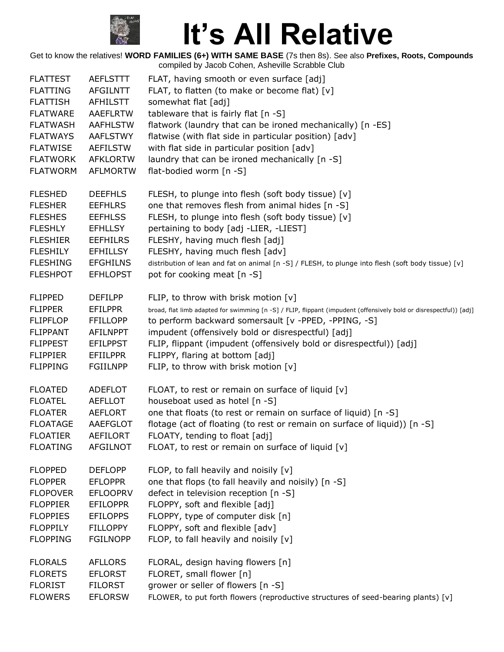

| <b>FLATTEST</b> | <b>AEFLSTTT</b> | FLAT, having smooth or even surface [adj]                                                                          |
|-----------------|-----------------|--------------------------------------------------------------------------------------------------------------------|
| <b>FLATTING</b> | <b>AFGILNTT</b> | FLAT, to flatten (to make or become flat) [v]                                                                      |
| <b>FLATTISH</b> | AFHILSTT        | somewhat flat [adj]                                                                                                |
| <b>FLATWARE</b> | <b>AAEFLRTW</b> | tableware that is fairly flat [n -S]                                                                               |
| <b>FLATWASH</b> | <b>AAFHLSTW</b> | flatwork (laundry that can be ironed mechanically) [n -ES]                                                         |
| <b>FLATWAYS</b> | <b>AAFLSTWY</b> | flatwise (with flat side in particular position) [adv]                                                             |
| <b>FLATWISE</b> | AEFILSTW        | with flat side in particular position [adv]                                                                        |
| <b>FLATWORK</b> | <b>AFKLORTW</b> | laundry that can be ironed mechanically [n -S]                                                                     |
| <b>FLATWORM</b> | <b>AFLMORTW</b> | flat-bodied worm [n -S]                                                                                            |
| <b>FLESHED</b>  | <b>DEEFHLS</b>  | FLESH, to plunge into flesh (soft body tissue) [v]                                                                 |
| <b>FLESHER</b>  | <b>EEFHLRS</b>  | one that removes flesh from animal hides [n -S]                                                                    |
| <b>FLESHES</b>  | <b>EEFHLSS</b>  | FLESH, to plunge into flesh (soft body tissue) [v]                                                                 |
| <b>FLESHLY</b>  | <b>EFHLLSY</b>  | pertaining to body [adj -LIER, -LIEST]                                                                             |
| <b>FLESHIER</b> | <b>EEFHILRS</b> | FLESHY, having much flesh [adj]                                                                                    |
| <b>FLESHILY</b> | <b>EFHILLSY</b> | FLESHY, having much flesh [adv]                                                                                    |
| <b>FLESHING</b> | <b>EFGHILNS</b> | distribution of lean and fat on animal [n -S] / FLESH, to plunge into flesh (soft body tissue) [v]                 |
| <b>FLESHPOT</b> | <b>EFHLOPST</b> | pot for cooking meat [n -S]                                                                                        |
| <b>FLIPPED</b>  | <b>DEFILPP</b>  | FLIP, to throw with brisk motion [v]                                                                               |
| <b>FLIPPER</b>  | <b>EFILPPR</b>  | broad, flat limb adapted for swimming [n -S] / FLIP, flippant (impudent (offensively bold or disrespectful)) [adj] |
| <b>FLIPFLOP</b> | <b>FFILLOPP</b> | to perform backward somersault [v -PPED, -PPING, -S]                                                               |
| <b>FLIPPANT</b> | <b>AFILNPPT</b> | impudent (offensively bold or disrespectful) [adj]                                                                 |
| <b>FLIPPEST</b> | <b>EFILPPST</b> | FLIP, flippant (impudent (offensively bold or disrespectful)) [adj]                                                |
| <b>FLIPPIER</b> | <b>EFIILPPR</b> | FLIPPY, flaring at bottom [adj]                                                                                    |
| <b>FLIPPING</b> | <b>FGIILNPP</b> | FLIP, to throw with brisk motion [v]                                                                               |
| <b>FLOATED</b>  | <b>ADEFLOT</b>  | FLOAT, to rest or remain on surface of liquid [v]                                                                  |
| <b>FLOATEL</b>  | <b>AEFLLOT</b>  | houseboat used as hotel [n -S]                                                                                     |
| <b>FLOATER</b>  | <b>AEFLORT</b>  | one that floats (to rest or remain on surface of liquid) [n -S]                                                    |
| <b>FLOATAGE</b> | AAEFGLOT        | flotage (act of floating (to rest or remain on surface of liquid)) [n -S]                                          |
| <b>FLOATIER</b> | <b>AEFILORT</b> | FLOATY, tending to float [adj]                                                                                     |
| <b>FLOATING</b> | <b>AFGILNOT</b> | FLOAT, to rest or remain on surface of liquid [v]                                                                  |
| <b>FLOPPED</b>  | <b>DEFLOPP</b>  | FLOP, to fall heavily and noisily [v]                                                                              |
| <b>FLOPPER</b>  | <b>EFLOPPR</b>  | one that flops (to fall heavily and noisily) [n -S]                                                                |
| <b>FLOPOVER</b> | <b>EFLOOPRV</b> | defect in television reception [n -S]                                                                              |
| <b>FLOPPIER</b> | <b>EFILOPPR</b> | FLOPPY, soft and flexible [adj]                                                                                    |
| <b>FLOPPIES</b> | <b>EFILOPPS</b> | FLOPPY, type of computer disk [n]                                                                                  |
| <b>FLOPPILY</b> | <b>FILLOPPY</b> | FLOPPY, soft and flexible [adv]                                                                                    |
| <b>FLOPPING</b> | <b>FGILNOPP</b> | FLOP, to fall heavily and noisily [v]                                                                              |
| <b>FLORALS</b>  | <b>AFLLORS</b>  | FLORAL, design having flowers [n]                                                                                  |
| <b>FLORETS</b>  | <b>EFLORST</b>  | FLORET, small flower [n]                                                                                           |
| <b>FLORIST</b>  | <b>FILORST</b>  | grower or seller of flowers [n -S]                                                                                 |
| <b>FLOWERS</b>  | <b>EFLORSW</b>  | FLOWER, to put forth flowers (reproductive structures of seed-bearing plants) [v]                                  |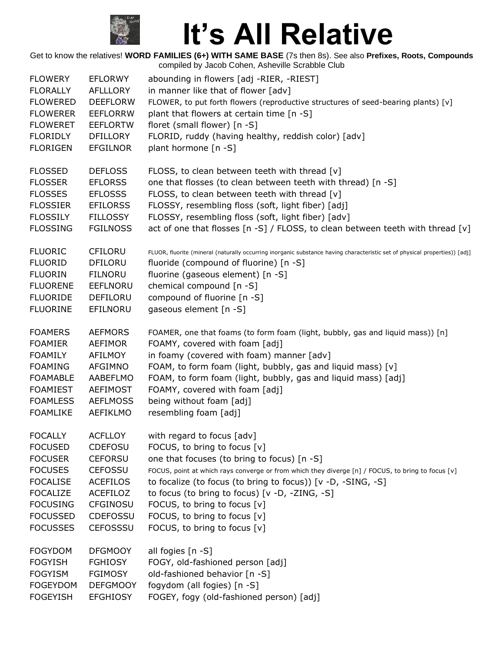

| <b>FLOWERY</b>  | <b>EFLORWY</b>  | abounding in flowers [adj -RIER, -RIEST]                                                                                   |
|-----------------|-----------------|----------------------------------------------------------------------------------------------------------------------------|
| <b>FLORALLY</b> | <b>AFLLLORY</b> | in manner like that of flower [adv]                                                                                        |
| <b>FLOWERED</b> | <b>DEEFLORW</b> | FLOWER, to put forth flowers (reproductive structures of seed-bearing plants) [v]                                          |
| <b>FLOWERER</b> | <b>EEFLORRW</b> | plant that flowers at certain time [n -S]                                                                                  |
| <b>FLOWERET</b> | <b>EEFLORTW</b> | floret (small flower) [n -S]                                                                                               |
| <b>FLORIDLY</b> | <b>DFILLORY</b> | FLORID, ruddy (having healthy, reddish color) [adv]                                                                        |
| <b>FLORIGEN</b> | <b>EFGILNOR</b> | plant hormone [n -S]                                                                                                       |
| <b>FLOSSED</b>  | <b>DEFLOSS</b>  | FLOSS, to clean between teeth with thread [v]                                                                              |
| <b>FLOSSER</b>  | <b>EFLORSS</b>  | one that flosses (to clean between teeth with thread) [n -S]                                                               |
| <b>FLOSSES</b>  | <b>EFLOSSS</b>  | FLOSS, to clean between teeth with thread [v]                                                                              |
| <b>FLOSSIER</b> | <b>EFILORSS</b> | FLOSSY, resembling floss (soft, light fiber) [adj]                                                                         |
| <b>FLOSSILY</b> | <b>FILLOSSY</b> | FLOSSY, resembling floss (soft, light fiber) [adv]                                                                         |
| <b>FLOSSING</b> | <b>FGILNOSS</b> | act of one that flosses [n -S] / FLOSS, to clean between teeth with thread [v]                                             |
| <b>FLUORIC</b>  | <b>CFILORU</b>  | FLUOR, fluorite (mineral (naturally occurring inorganic substance having characteristic set of physical properties)) [adj] |
| <b>FLUORID</b>  | <b>DFILORU</b>  | fluoride (compound of fluorine) [n -S]                                                                                     |
| <b>FLUORIN</b>  | <b>FILNORU</b>  | fluorine (gaseous element) [n -S]                                                                                          |
| <b>FLUORENE</b> | EEFLNORU        | chemical compound [n -S]                                                                                                   |
| <b>FLUORIDE</b> | DEFILORU        | compound of fluorine [n -S]                                                                                                |
| <b>FLUORINE</b> | EFILNORU        | gaseous element [n -S]                                                                                                     |
| <b>FOAMERS</b>  | <b>AEFMORS</b>  | FOAMER, one that foams (to form foam (light, bubbly, gas and liquid mass)) [n]                                             |
| <b>FOAMIER</b>  | <b>AEFIMOR</b>  | FOAMY, covered with foam [adj]                                                                                             |
| <b>FOAMILY</b>  | AFILMOY         | in foamy (covered with foam) manner [adv]                                                                                  |
| <b>FOAMING</b>  | <b>AFGIMNO</b>  | FOAM, to form foam (light, bubbly, gas and liquid mass) [v]                                                                |
| <b>FOAMABLE</b> | AABEFLMO        | FOAM, to form foam (light, bubbly, gas and liquid mass) [adj]                                                              |
| <b>FOAMIEST</b> | <b>AEFIMOST</b> | FOAMY, covered with foam [adj]                                                                                             |
| <b>FOAMLESS</b> | <b>AEFLMOSS</b> | being without foam [adj]                                                                                                   |
| <b>FOAMLIKE</b> | <b>AEFIKLMO</b> | resembling foam [adj]                                                                                                      |
| <b>FOCALLY</b>  | <b>ACFLLOY</b>  | with regard to focus [adv]                                                                                                 |
| <b>FOCUSED</b>  | <b>CDEFOSU</b>  | FOCUS, to bring to focus [v]                                                                                               |
| <b>FOCUSER</b>  | <b>CEFORSU</b>  | one that focuses (to bring to focus) [n -S]                                                                                |
| <b>FOCUSES</b>  | <b>CEFOSSU</b>  | FOCUS, point at which rays converge or from which they diverge [n] / FOCUS, to bring to focus [v]                          |
| <b>FOCALISE</b> | <b>ACEFILOS</b> | to focalize (to focus (to bring to focus)) [v -D, -SING, -S]                                                               |
| <b>FOCALIZE</b> | <b>ACEFILOZ</b> | to focus (to bring to focus) [v -D, -ZING, -S]                                                                             |
| <b>FOCUSING</b> | <b>CFGINOSU</b> | FOCUS, to bring to focus [v]                                                                                               |
| <b>FOCUSSED</b> | <b>CDEFOSSU</b> | FOCUS, to bring to focus [v]                                                                                               |
| <b>FOCUSSES</b> | <b>CEFOSSSU</b> | FOCUS, to bring to focus [v]                                                                                               |
| <b>FOGYDOM</b>  | <b>DFGMOOY</b>  | all fogies [n -S]                                                                                                          |
| <b>FOGYISH</b>  | <b>FGHIOSY</b>  | FOGY, old-fashioned person [adj]                                                                                           |
| <b>FOGYISM</b>  | <b>FGIMOSY</b>  | old-fashioned behavior [n -S]                                                                                              |
| <b>FOGEYDOM</b> | <b>DEFGMOOY</b> | fogydom (all fogies) [n -S]                                                                                                |
| <b>FOGEYISH</b> | <b>EFGHIOSY</b> | FOGEY, fogy (old-fashioned person) [adj]                                                                                   |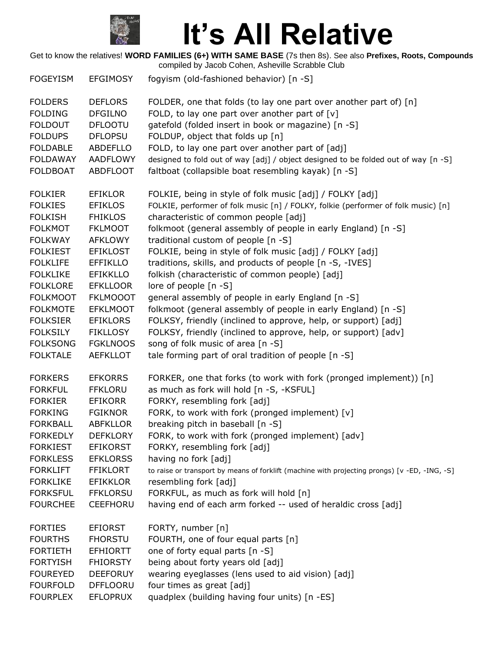

| <b>FOGEYISM</b> | <b>EFGIMOSY</b> | fogyism (old-fashioned behavior) [n -S]                                                       |
|-----------------|-----------------|-----------------------------------------------------------------------------------------------|
| <b>FOLDERS</b>  | <b>DEFLORS</b>  | FOLDER, one that folds (to lay one part over another part of) [n]                             |
| <b>FOLDING</b>  | <b>DFGILNO</b>  | FOLD, to lay one part over another part of $[v]$                                              |
| <b>FOLDOUT</b>  | <b>DFLOOTU</b>  | gatefold (folded insert in book or magazine) [n -S]                                           |
| <b>FOLDUPS</b>  | <b>DFLOPSU</b>  | FOLDUP, object that folds up [n]                                                              |
| <b>FOLDABLE</b> | ABDEFLLO        | FOLD, to lay one part over another part of [adj]                                              |
| <b>FOLDAWAY</b> | <b>AADFLOWY</b> | designed to fold out of way [adj] / object designed to be folded out of way [n -S]            |
| <b>FOLDBOAT</b> | <b>ABDFLOOT</b> | faltboat (collapsible boat resembling kayak) [n -S]                                           |
| <b>FOLKIER</b>  | <b>EFIKLOR</b>  | FOLKIE, being in style of folk music [adj] / FOLKY [adj]                                      |
| <b>FOLKIES</b>  | <b>EFIKLOS</b>  | FOLKIE, performer of folk music [n] / FOLKY, folkie (performer of folk music) [n]             |
| <b>FOLKISH</b>  | <b>FHIKLOS</b>  | characteristic of common people [adj]                                                         |
| <b>FOLKMOT</b>  | <b>FKLMOOT</b>  | folkmoot (general assembly of people in early England) [n -S]                                 |
| <b>FOLKWAY</b>  | <b>AFKLOWY</b>  | traditional custom of people [n -S]                                                           |
| <b>FOLKIEST</b> | <b>EFIKLOST</b> | FOLKIE, being in style of folk music [adj] / FOLKY [adj]                                      |
| <b>FOLKLIFE</b> | <b>EFFIKLLO</b> | traditions, skills, and products of people [n -S, -IVES]                                      |
| <b>FOLKLIKE</b> | <b>EFIKKLLO</b> | folkish (characteristic of common people) [adj]                                               |
| <b>FOLKLORE</b> | <b>EFKLLOOR</b> | lore of people [n -S]                                                                         |
| <b>FOLKMOOT</b> | <b>FKLMOOOT</b> | general assembly of people in early England [n -S]                                            |
| <b>FOLKMOTE</b> | <b>EFKLMOOT</b> | folkmoot (general assembly of people in early England) [n -S]                                 |
| <b>FOLKSIER</b> | <b>EFIKLORS</b> | FOLKSY, friendly (inclined to approve, help, or support) [adj]                                |
| <b>FOLKSILY</b> | <b>FIKLLOSY</b> | FOLKSY, friendly (inclined to approve, help, or support) [adv]                                |
| <b>FOLKSONG</b> | <b>FGKLNOOS</b> | song of folk music of area [n -S]                                                             |
| <b>FOLKTALE</b> | <b>AEFKLLOT</b> | tale forming part of oral tradition of people [n -S]                                          |
| <b>FORKERS</b>  | <b>EFKORRS</b>  | FORKER, one that forks (to work with fork (pronged implement)) [n]                            |
| <b>FORKFUL</b>  | <b>FFKLORU</b>  | as much as fork will hold [n -S, -KSFUL]                                                      |
| <b>FORKIER</b>  | <b>EFIKORR</b>  | FORKY, resembling fork [adj]                                                                  |
| <b>FORKING</b>  | <b>FGIKNOR</b>  | FORK, to work with fork (pronged implement) [v]                                               |
| <b>FORKBALL</b> | <b>ABFKLLOR</b> | breaking pitch in baseball [n -S]                                                             |
| <b>FORKEDLY</b> | <b>DEFKLORY</b> | FORK, to work with fork (pronged implement) [adv]                                             |
| <b>FORKIEST</b> | <b>EFIKORST</b> | FORKY, resembling fork [adj]                                                                  |
| <b>FORKLESS</b> | <b>EFKLORSS</b> | having no fork [adj]                                                                          |
| <b>FORKLIFT</b> | <b>FFIKLORT</b> | to raise or transport by means of forklift (machine with projecting prongs) [v -ED, -ING, -S] |
| <b>FORKLIKE</b> | <b>EFIKKLOR</b> | resembling fork [adj]                                                                         |
| <b>FORKSFUL</b> | <b>FFKLORSU</b> | FORKFUL, as much as fork will hold [n]                                                        |
| <b>FOURCHEE</b> | <b>CEEFHORU</b> | having end of each arm forked -- used of heraldic cross [adj]                                 |
| <b>FORTIES</b>  | <b>EFIORST</b>  | FORTY, number [n]                                                                             |
| <b>FOURTHS</b>  | <b>FHORSTU</b>  | FOURTH, one of four equal parts [n]                                                           |
| <b>FORTIETH</b> | <b>EFHIORTT</b> | one of forty equal parts [n -S]                                                               |
| <b>FORTYISH</b> | <b>FHIORSTY</b> | being about forty years old [adj]                                                             |
| <b>FOUREYED</b> | <b>DEEFORUY</b> | wearing eyeglasses (lens used to aid vision) [adj]                                            |
| <b>FOURFOLD</b> | <b>DFFLOORU</b> | four times as great [adj]                                                                     |
| <b>FOURPLEX</b> | <b>EFLOPRUX</b> | quadplex (building having four units) [n -ES]                                                 |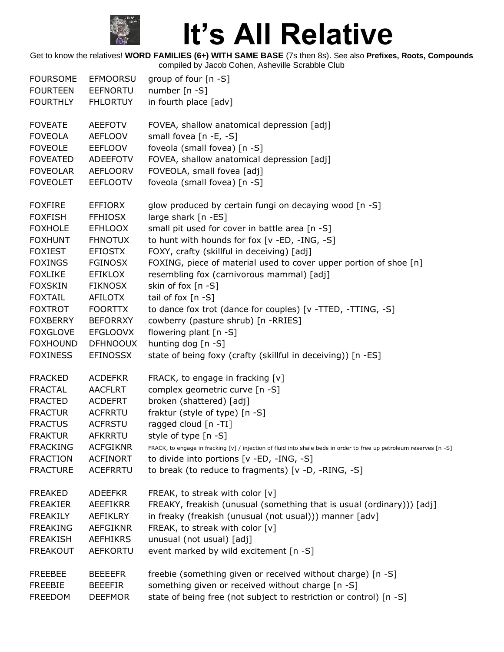

| <b>FOURSOME</b><br><b>FOURTEEN</b><br><b>FOURTHLY</b> | EFMOORSU<br><b>EEFNORTU</b><br><b>FHLORTUY</b>     | group of four [n -S]<br>number $[n - S]$<br>in fourth place [adv]                                                                    |
|-------------------------------------------------------|----------------------------------------------------|--------------------------------------------------------------------------------------------------------------------------------------|
| <b>FOVEATE</b><br><b>FOVEOLA</b><br><b>FOVEOLE</b>    | <b>AEEFOTV</b><br><b>AEFLOOV</b><br><b>EEFLOOV</b> | FOVEA, shallow anatomical depression [adj]<br>small fovea [n -E, -S]<br>foveola (small fovea) [n -S]                                 |
| <b>FOVEATED</b>                                       | <b>ADEEFOTV</b>                                    | FOVEA, shallow anatomical depression [adj]                                                                                           |
| <b>FOVEOLAR</b>                                       | <b>AEFLOORV</b>                                    | FOVEOLA, small fovea [adj]                                                                                                           |
| <b>FOVEOLET</b>                                       | <b>EEFLOOTV</b>                                    | foveola (small fovea) [n -S]                                                                                                         |
| <b>FOXFIRE</b><br><b>FOXFISH</b>                      | <b>EFFIORX</b><br><b>FFHIOSX</b>                   | glow produced by certain fungi on decaying wood [n -S]<br>large shark [n -ES]                                                        |
| <b>FOXHOLE</b>                                        | <b>EFHLOOX</b>                                     | small pit used for cover in battle area [n -S]                                                                                       |
| <b>FOXHUNT</b>                                        | <b>FHNOTUX</b>                                     | to hunt with hounds for fox [v -ED, -ING, -S]                                                                                        |
| <b>FOXIEST</b>                                        | <b>EFIOSTX</b>                                     | FOXY, crafty (skillful in deceiving) [adj]                                                                                           |
| <b>FOXINGS</b><br><b>FOXLIKE</b><br><b>FOXSKIN</b>    | <b>FGINOSX</b><br><b>EFIKLOX</b><br><b>FIKNOSX</b> | FOXING, piece of material used to cover upper portion of shoe [n]<br>resembling fox (carnivorous mammal) [adj]<br>skin of fox [n -S] |
| <b>FOXTAIL</b>                                        | <b>AFILOTX</b>                                     | tail of fox [n -S]                                                                                                                   |
| <b>FOXTROT</b>                                        | <b>FOORTTX</b>                                     | to dance fox trot (dance for couples) [v -TTED, -TTING, -S]                                                                          |
| <b>FOXBERRY</b>                                       | <b>BEFORRXY</b>                                    | cowberry (pasture shrub) [n -RRIES]                                                                                                  |
| <b>FOXGLOVE</b>                                       | <b>EFGLOOVX</b>                                    | flowering plant [n -S]                                                                                                               |
| <b>FOXHOUND</b>                                       | <b>DFHNOOUX</b>                                    | hunting dog [n -S]                                                                                                                   |
| <b>FOXINESS</b>                                       | <b>EFINOSSX</b>                                    | state of being foxy (crafty (skillful in deceiving)) [n -ES]                                                                         |
| <b>FRACKED</b>                                        | <b>ACDEFKR</b>                                     | FRACK, to engage in fracking [v]                                                                                                     |
| <b>FRACTAL</b>                                        | <b>AACFLRT</b>                                     | complex geometric curve [n -S]                                                                                                       |
| <b>FRACTED</b>                                        | <b>ACDEFRT</b>                                     | broken (shattered) [adj]                                                                                                             |
| <b>FRACTUR</b>                                        | <b>ACFRRTU</b>                                     | fraktur (style of type) [n -S]                                                                                                       |
| <b>FRACTUS</b>                                        | <b>ACFRSTU</b>                                     | ragged cloud [n -TI]                                                                                                                 |
| <b>FRAKTUR</b>                                        | AFKRRTU                                            | style of type [n -S]                                                                                                                 |
| <b>FRACKING</b>                                       | <b>ACFGIKNR</b>                                    | FRACK, to engage in fracking [v] / injection of fluid into shale beds in order to free up petroleum reserves [n -S]                  |
| <b>FRACTION</b>                                       | <b>ACFINORT</b>                                    | to divide into portions [v -ED, -ING, -S]                                                                                            |
| <b>FRACTURE</b>                                       | <b>ACEFRRTU</b>                                    | to break (to reduce to fragments) [v -D, -RING, -S]                                                                                  |
| <b>FREAKED</b>                                        | <b>ADEEFKR</b>                                     | FREAK, to streak with color [v]                                                                                                      |
| <b>FREAKIER</b>                                       | <b>AEEFIKRR</b>                                    | FREAKY, freakish (unusual (something that is usual (ordinary))) [adj]                                                                |
| <b>FREAKILY</b>                                       | <b>AEFIKLRY</b>                                    | in freaky (freakish (unusual (not usual))) manner [adv]                                                                              |
| <b>FREAKING</b>                                       | <b>AEFGIKNR</b>                                    | FREAK, to streak with color [v]                                                                                                      |
| <b>FREAKISH</b>                                       | <b>AEFHIKRS</b>                                    | unusual (not usual) [adj]                                                                                                            |
| <b>FREAKOUT</b>                                       | <b>AEFKORTU</b>                                    | event marked by wild excitement [n -S]                                                                                               |
| <b>FREEBEE</b>                                        | <b>BEEEEFR</b>                                     | freebie (something given or received without charge) [n -S]                                                                          |
| <b>FREEBIE</b>                                        | <b>BEEEFIR</b>                                     | something given or received without charge [n -S]                                                                                    |
| <b>FREEDOM</b>                                        | <b>DEEFMOR</b>                                     | state of being free (not subject to restriction or control) [n -S]                                                                   |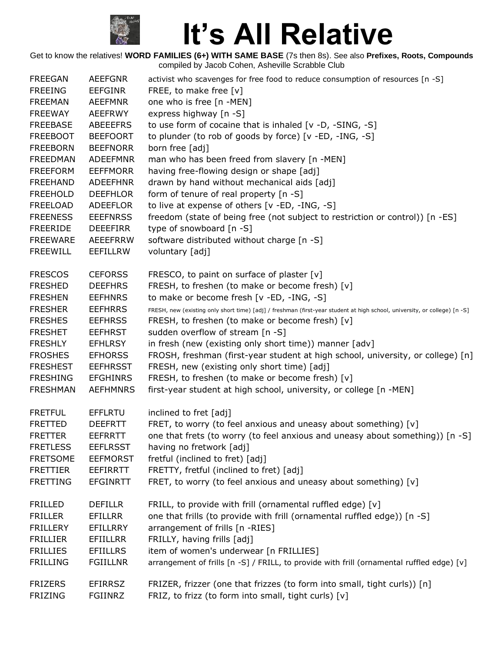

| <b>FREEGAN</b>  | <b>AEEFGNR</b>  | activist who scavenges for free food to reduce consumption of resources [n -S]                                            |
|-----------------|-----------------|---------------------------------------------------------------------------------------------------------------------------|
| <b>FREEING</b>  | <b>EEFGINR</b>  | FREE, to make free [v]                                                                                                    |
| <b>FREEMAN</b>  | <b>AEEFMNR</b>  | one who is free [n -MEN]                                                                                                  |
| <b>FREEWAY</b>  | <b>AEEFRWY</b>  | express highway [n -S]                                                                                                    |
| <b>FREEBASE</b> | <b>ABEEEFRS</b> | to use form of cocaine that is inhaled [v -D, -SING, -S]                                                                  |
| <b>FREEBOOT</b> | <b>BEEFOORT</b> | to plunder (to rob of goods by force) [v -ED, -ING, -S]                                                                   |
| <b>FREEBORN</b> | <b>BEEFNORR</b> | born free [adj]                                                                                                           |
| <b>FREEDMAN</b> | <b>ADEEFMNR</b> | man who has been freed from slavery [n -MEN]                                                                              |
| <b>FREEFORM</b> | <b>EEFFMORR</b> | having free-flowing design or shape [adj]                                                                                 |
| <b>FREEHAND</b> | <b>ADEEFHNR</b> | drawn by hand without mechanical aids [adj]                                                                               |
| <b>FREEHOLD</b> | <b>DEEFHLOR</b> | form of tenure of real property [n -S]                                                                                    |
| <b>FREELOAD</b> | <b>ADEEFLOR</b> | to live at expense of others [v -ED, -ING, -S]                                                                            |
| <b>FREENESS</b> | <b>EEEFNRSS</b> | freedom (state of being free (not subject to restriction or control)) [n -ES]                                             |
| <b>FREERIDE</b> | <b>DEEEFIRR</b> | type of snowboard [n -S]                                                                                                  |
| <b>FREEWARE</b> | <b>AEEEFRRW</b> | software distributed without charge [n -S]                                                                                |
| <b>FREEWILL</b> | EEFILLRW        | voluntary [adj]                                                                                                           |
| <b>FRESCOS</b>  | <b>CEFORSS</b>  | FRESCO, to paint on surface of plaster [v]                                                                                |
| <b>FRESHED</b>  | <b>DEEFHRS</b>  | FRESH, to freshen (to make or become fresh) [v]                                                                           |
| <b>FRESHEN</b>  | <b>EEFHNRS</b>  | to make or become fresh [v -ED, -ING, -S]                                                                                 |
| <b>FRESHER</b>  | <b>EEFHRRS</b>  | FRESH, new (existing only short time) [adj] / freshman (first-year student at high school, university, or college) [n -S] |
| <b>FRESHES</b>  | <b>EEFHRSS</b>  | FRESH, to freshen (to make or become fresh) [v]                                                                           |
| <b>FRESHET</b>  | <b>EEFHRST</b>  | sudden overflow of stream [n -S]                                                                                          |
| <b>FRESHLY</b>  | <b>EFHLRSY</b>  | in fresh (new (existing only short time)) manner [adv]                                                                    |
| <b>FROSHES</b>  | <b>EFHORSS</b>  | FROSH, freshman (first-year student at high school, university, or college) [n]                                           |
| <b>FRESHEST</b> | <b>EEFHRSST</b> | FRESH, new (existing only short time) [adj]                                                                               |
| <b>FRESHING</b> | <b>EFGHINRS</b> | FRESH, to freshen (to make or become fresh) [v]                                                                           |
| <b>FRESHMAN</b> | <b>AEFHMNRS</b> | first-year student at high school, university, or college [n -MEN]                                                        |
| <b>FRETFUL</b>  | <b>EFFLRTU</b>  | inclined to fret [adj]                                                                                                    |
| <b>FRETTED</b>  | <b>DEEFRTT</b>  | FRET, to worry (to feel anxious and uneasy about something) [v]                                                           |
| <b>FRETTER</b>  | EEFRRTT         | one that frets (to worry (to feel anxious and uneasy about something)) [n -S]                                             |
| <b>FRETLESS</b> | <b>EEFLRSST</b> | having no fretwork [adj]                                                                                                  |
| <b>FRETSOME</b> | <b>EEFMORST</b> | fretful (inclined to fret) [adj]                                                                                          |
| <b>FRETTIER</b> | <b>EEFIRRTT</b> | FRETTY, fretful (inclined to fret) [adj]                                                                                  |
| <b>FRETTING</b> | <b>EFGINRTT</b> | FRET, to worry (to feel anxious and uneasy about something) [v]                                                           |
| <b>FRILLED</b>  | <b>DEFILLR</b>  | FRILL, to provide with frill (ornamental ruffled edge) [v]                                                                |
| <b>FRILLER</b>  | <b>EFILLRR</b>  | one that frills (to provide with frill (ornamental ruffled edge)) [n -S]                                                  |
| <b>FRILLERY</b> | EFILLRRY        | arrangement of frills [n -RIES]                                                                                           |
| <b>FRILLIER</b> | <b>EFIILLRR</b> | FRILLY, having frills [adj]                                                                                               |
| <b>FRILLIES</b> | <b>EFIILLRS</b> | item of women's underwear [n FRILLIES]                                                                                    |
| <b>FRILLING</b> | <b>FGIILLNR</b> | arrangement of frills [n -S] / FRILL, to provide with frill (ornamental ruffled edge) [v]                                 |
| <b>FRIZERS</b>  | <b>EFIRRSZ</b>  | FRIZER, frizzer (one that frizzes (to form into small, tight curls)) [n]                                                  |
| <b>FRIZING</b>  | FGIINRZ         | FRIZ, to frizz (to form into small, tight curls) [v]                                                                      |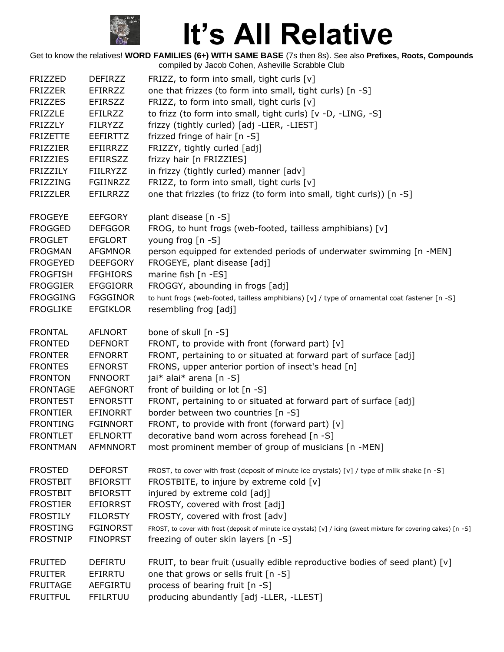

| <b>FRIZZED</b>  | <b>DEFIRZZ</b>  | FRIZZ, to form into small, tight curls $[v]$                                                                      |
|-----------------|-----------------|-------------------------------------------------------------------------------------------------------------------|
| <b>FRIZZER</b>  | EFIRRZZ         | one that frizzes (to form into small, tight curls) [n -S]                                                         |
| <b>FRIZZES</b>  | <b>EFIRSZZ</b>  | FRIZZ, to form into small, tight curls [v]                                                                        |
| <b>FRIZZLE</b>  | EFILRZZ         | to frizz (to form into small, tight curls) [v -D, -LING, -S]                                                      |
| <b>FRIZZLY</b>  | <b>FILRYZZ</b>  | frizzy (tightly curled) [adj -LIER, -LIEST]                                                                       |
| <b>FRIZETTE</b> | <b>EEFIRTTZ</b> | frizzed fringe of hair [n -S]                                                                                     |
| <b>FRIZZIER</b> | EFIIRRZZ        | FRIZZY, tightly curled [adj]                                                                                      |
| <b>FRIZZIES</b> | <b>EFIIRSZZ</b> | frizzy hair [n FRIZZIES]                                                                                          |
| <b>FRIZZILY</b> | <b>FIILRYZZ</b> | in frizzy (tightly curled) manner [adv]                                                                           |
| <b>FRIZZING</b> | FGIINRZZ        | FRIZZ, to form into small, tight curls [v]                                                                        |
| <b>FRIZZLER</b> | <b>EFILRRZZ</b> | one that frizzles (to frizz (to form into small, tight curls)) [n -S]                                             |
|                 |                 |                                                                                                                   |
| <b>FROGEYE</b>  | <b>EEFGORY</b>  | plant disease [n -S]                                                                                              |
| <b>FROGGED</b>  | <b>DEFGGOR</b>  | FROG, to hunt frogs (web-footed, tailless amphibians) [v]                                                         |
| <b>FROGLET</b>  | <b>EFGLORT</b>  | young frog [n -S]                                                                                                 |
| <b>FROGMAN</b>  | <b>AFGMNOR</b>  | person equipped for extended periods of underwater swimming [n -MEN]                                              |
| <b>FROGEYED</b> | <b>DEEFGORY</b> | FROGEYE, plant disease [adj]                                                                                      |
| <b>FROGFISH</b> | <b>FFGHIORS</b> | marine fish [n -ES]                                                                                               |
| <b>FROGGIER</b> | <b>EFGGIORR</b> | FROGGY, abounding in frogs [adj]                                                                                  |
| <b>FROGGING</b> | <b>FGGGINOR</b> | to hunt frogs (web-footed, tailless amphibians) [v] / type of ornamental coat fastener [n -S]                     |
| <b>FROGLIKE</b> | <b>EFGIKLOR</b> | resembling frog [adj]                                                                                             |
|                 |                 |                                                                                                                   |
| <b>FRONTAL</b>  | <b>AFLNORT</b>  | bone of skull [n -S]                                                                                              |
| <b>FRONTED</b>  | <b>DEFNORT</b>  | FRONT, to provide with front (forward part) [v]                                                                   |
| <b>FRONTER</b>  | <b>EFNORRT</b>  | FRONT, pertaining to or situated at forward part of surface [adj]                                                 |
| <b>FRONTES</b>  | <b>EFNORST</b>  | FRONS, upper anterior portion of insect's head [n]                                                                |
| <b>FRONTON</b>  | <b>FNNOORT</b>  | jai* alai* arena [n -S]                                                                                           |
| <b>FRONTAGE</b> | <b>AEFGNORT</b> | front of building or lot [n -S]                                                                                   |
| <b>FRONTEST</b> | <b>EFNORSTT</b> | FRONT, pertaining to or situated at forward part of surface [adj]                                                 |
| <b>FRONTIER</b> | <b>EFINORRT</b> | border between two countries [n -S]                                                                               |
| <b>FRONTING</b> | <b>FGINNORT</b> | FRONT, to provide with front (forward part) [v]                                                                   |
| <b>FRONTLET</b> | <b>EFLNORTT</b> | decorative band worn across forehead [n -S]                                                                       |
| <b>FRONTMAN</b> | <b>AFMNNORT</b> | most prominent member of group of musicians [n -MEN]                                                              |
|                 |                 |                                                                                                                   |
| <b>FROSTED</b>  | <b>DEFORST</b>  | FROST, to cover with frost (deposit of minute ice crystals) [v] / type of milk shake [n -S]                       |
| <b>FROSTBIT</b> | <b>BFIORSTT</b> | FROSTBITE, to injure by extreme cold [v]                                                                          |
| <b>FROSTBIT</b> | <b>BFIORSTT</b> | injured by extreme cold [adj]                                                                                     |
| <b>FROSTIER</b> | <b>EFIORRST</b> | FROSTY, covered with frost [adj]                                                                                  |
| <b>FROSTILY</b> | <b>FILORSTY</b> | FROSTY, covered with frost [adv]                                                                                  |
| <b>FROSTING</b> | <b>FGINORST</b> | FROST, to cover with frost (deposit of minute ice crystals) [v] / icing (sweet mixture for covering cakes) [n -S] |
| <b>FROSTNIP</b> | <b>FINOPRST</b> | freezing of outer skin layers [n -S]                                                                              |
|                 |                 |                                                                                                                   |
| <b>FRUITED</b>  | <b>DEFIRTU</b>  | FRUIT, to bear fruit (usually edible reproductive bodies of seed plant) $[v]$                                     |
| <b>FRUITER</b>  | EFIRRTU         | one that grows or sells fruit [n -S]                                                                              |
| <b>FRUITAGE</b> | <b>AEFGIRTU</b> | process of bearing fruit [n -S]                                                                                   |
| <b>FRUITFUL</b> | <b>FFILRTUU</b> | producing abundantly [adj -LLER, -LLEST]                                                                          |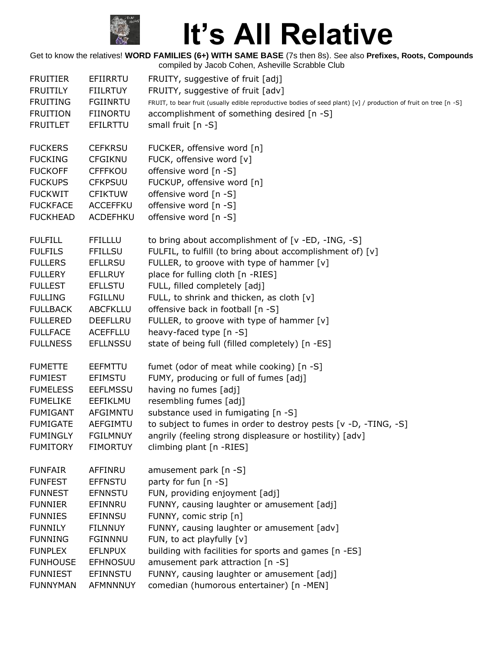

| <b>FRUITIER</b> | EFIIRRTU        | FRUITY, suggestive of fruit [adj]                                                                                |
|-----------------|-----------------|------------------------------------------------------------------------------------------------------------------|
| <b>FRUITILY</b> | <b>FIILRTUY</b> | FRUITY, suggestive of fruit [adv]                                                                                |
| <b>FRUITING</b> | <b>FGIINRTU</b> | FRUIT, to bear fruit (usually edible reproductive bodies of seed plant) [v] / production of fruit on tree [n -S] |
| <b>FRUITION</b> | <b>FIINORTU</b> | accomplishment of something desired [n -S]                                                                       |
| <b>FRUITLET</b> | EFILRTTU        | small fruit [n -S]                                                                                               |
| <b>FUCKERS</b>  | <b>CEFKRSU</b>  | FUCKER, offensive word [n]                                                                                       |
| <b>FUCKING</b>  | <b>CFGIKNU</b>  | FUCK, offensive word [v]                                                                                         |
| <b>FUCKOFF</b>  | <b>CFFFKOU</b>  | offensive word [n -S]                                                                                            |
| <b>FUCKUPS</b>  | <b>CFKPSUU</b>  | FUCKUP, offensive word [n]                                                                                       |
| <b>FUCKWIT</b>  | <b>CFIKTUW</b>  | offensive word [n -S]                                                                                            |
| <b>FUCKFACE</b> | ACCEFFKU        | offensive word [n -S]                                                                                            |
| <b>FUCKHEAD</b> | ACDEFHKU        | offensive word [n -S]                                                                                            |
| <b>FULFILL</b>  | <b>FFILLLU</b>  | to bring about accomplishment of [v -ED, -ING, -S]                                                               |
| <b>FULFILS</b>  | <b>FFILLSU</b>  | FULFIL, to fulfill (to bring about accomplishment of) [v]                                                        |
| <b>FULLERS</b>  | <b>EFLLRSU</b>  | FULLER, to groove with type of hammer [v]                                                                        |
| <b>FULLERY</b>  | <b>EFLLRUY</b>  | place for fulling cloth [n -RIES]                                                                                |
| <b>FULLEST</b>  | <b>EFLLSTU</b>  | FULL, filled completely [adj]                                                                                    |
| <b>FULLING</b>  | <b>FGILLNU</b>  | FULL, to shrink and thicken, as cloth [v]                                                                        |
| <b>FULLBACK</b> | <b>ABCFKLLU</b> | offensive back in football [n -S]                                                                                |
| <b>FULLERED</b> | DEEFLLRU        | FULLER, to groove with type of hammer [v]                                                                        |
| <b>FULLFACE</b> | <b>ACEFFLLU</b> | heavy-faced type [n -S]                                                                                          |
| <b>FULLNESS</b> | <b>EFLLNSSU</b> | state of being full (filled completely) [n -ES]                                                                  |
| <b>FUMETTE</b>  | EEFMTTU         | fumet (odor of meat while cooking) [n -S]                                                                        |
| <b>FUMIEST</b>  | <b>EFIMSTU</b>  | FUMY, producing or full of fumes [adj]                                                                           |
| <b>FUMELESS</b> | <b>EEFLMSSU</b> | having no fumes [adj]                                                                                            |
| <b>FUMELIKE</b> | EEFIKLMU        | resembling fumes [adj]                                                                                           |
| <b>FUMIGANT</b> | AFGIMNTU        | substance used in fumigating [n -S]                                                                              |
| <b>FUMIGATE</b> | AEFGIMTU        | to subject to fumes in order to destroy pests [v -D, -TING, -S]                                                  |
| <b>FUMINGLY</b> | <b>FGILMNUY</b> | angrily (feeling strong displeasure or hostility) [adv]                                                          |
| <b>FUMITORY</b> | <b>FIMORTUY</b> | climbing plant [n -RIES]                                                                                         |
| <b>FUNFAIR</b>  | AFFINRU         | amusement park [n -S]                                                                                            |
| <b>FUNFEST</b>  | <b>EFFNSTU</b>  | party for fun [n -S]                                                                                             |
| <b>FUNNEST</b>  | <b>EFNNSTU</b>  | FUN, providing enjoyment [adj]                                                                                   |
| <b>FUNNIER</b>  | EFINNRU         | FUNNY, causing laughter or amusement [adj]                                                                       |
| <b>FUNNIES</b>  | <b>EFINNSU</b>  | FUNNY, comic strip [n]                                                                                           |
| <b>FUNNILY</b>  | <b>FILNNUY</b>  | FUNNY, causing laughter or amusement [adv]                                                                       |
| <b>FUNNING</b>  | <b>FGINNNU</b>  | FUN, to act playfully [v]                                                                                        |
| <b>FUNPLEX</b>  | <b>EFLNPUX</b>  | building with facilities for sports and games [n -ES]                                                            |
| <b>FUNHOUSE</b> | <b>EFHNOSUU</b> | amusement park attraction [n -S]                                                                                 |
| <b>FUNNIEST</b> | <b>EFINNSTU</b> | FUNNY, causing laughter or amusement [adj]                                                                       |
| <b>FUNNYMAN</b> | AFMNNNUY        | comedian (humorous entertainer) [n -MEN]                                                                         |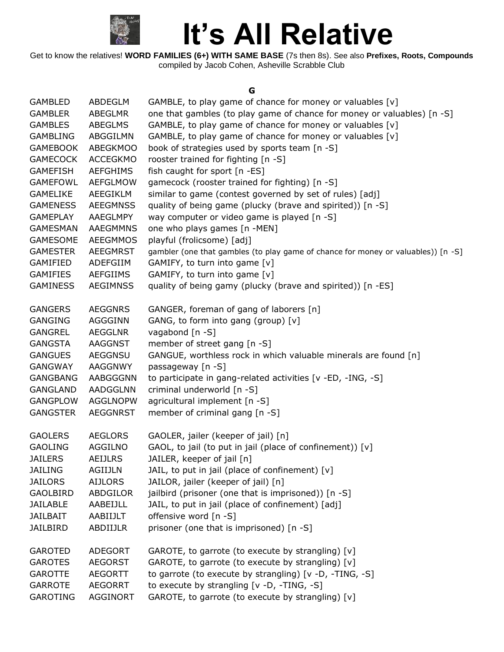

Get to know the relatives! **WORD FAMILIES (6+) WITH SAME BASE** (7s then 8s). See also **Prefixes, Roots, Compounds** compiled by Jacob Cohen, Asheville Scrabble Club

#### **G**

| <b>GAMBLED</b>  | ABDEGLM         | GAMBLE, to play game of chance for money or valuables [v]                         |
|-----------------|-----------------|-----------------------------------------------------------------------------------|
| <b>GAMBLER</b>  | <b>ABEGLMR</b>  | one that gambles (to play game of chance for money or valuables) [n -S]           |
| <b>GAMBLES</b>  | ABEGLMS         | GAMBLE, to play game of chance for money or valuables [v]                         |
| <b>GAMBLING</b> | ABGGILMN        | GAMBLE, to play game of chance for money or valuables [v]                         |
| <b>GAMEBOOK</b> | <b>ABEGKMOO</b> | book of strategies used by sports team [n -S]                                     |
| <b>GAMECOCK</b> | <b>ACCEGKMO</b> | rooster trained for fighting [n -S]                                               |
| <b>GAMEFISH</b> | <b>AEFGHIMS</b> | fish caught for sport [n -ES]                                                     |
| <b>GAMEFOWL</b> | <b>AEFGLMOW</b> | gamecock (rooster trained for fighting) [n -S]                                    |
| <b>GAMELIKE</b> | AEEGIKLM        | similar to game (contest governed by set of rules) [adj]                          |
| <b>GAMENESS</b> | <b>AEEGMNSS</b> | quality of being game (plucky (brave and spirited)) [n -S]                        |
| <b>GAMEPLAY</b> | AAEGLMPY        | way computer or video game is played [n -S]                                       |
| <b>GAMESMAN</b> | <b>AAEGMMNS</b> | one who plays games [n -MEN]                                                      |
| <b>GAMESOME</b> | <b>AEEGMMOS</b> | playful (frolicsome) [adj]                                                        |
| <b>GAMESTER</b> | AEEGMRST        | gambler (one that gambles (to play game of chance for money or valuables)) [n -S] |
| <b>GAMIFIED</b> | ADEFGIIM        | GAMIFY, to turn into game [v]                                                     |
| <b>GAMIFIES</b> | <b>AEFGIIMS</b> | GAMIFY, to turn into game [v]                                                     |
| <b>GAMINESS</b> | <b>AEGIMNSS</b> | quality of being gamy (plucky (brave and spirited)) [n -ES]                       |
|                 |                 |                                                                                   |
| <b>GANGERS</b>  | <b>AEGGNRS</b>  | GANGER, foreman of gang of laborers [n]                                           |
| <b>GANGING</b>  | <b>AGGGINN</b>  | GANG, to form into gang (group) [v]                                               |
| <b>GANGREL</b>  | <b>AEGGLNR</b>  | vagabond [n -S]                                                                   |
| <b>GANGSTA</b>  | AAGGNST         | member of street gang [n -S]                                                      |
| <b>GANGUES</b>  | AEGGNSU         | GANGUE, worthless rock in which valuable minerals are found [n]                   |
| <b>GANGWAY</b>  | <b>AAGGNWY</b>  | passageway [n -S]                                                                 |
| <b>GANGBANG</b> | AABGGGNN        | to participate in gang-related activities [v -ED, -ING, -S]                       |
| GANGLAND        | <b>AADGGLNN</b> | criminal underworld [n -S]                                                        |
| <b>GANGPLOW</b> | <b>AGGLNOPW</b> | agricultural implement [n -S]                                                     |
| <b>GANGSTER</b> | <b>AEGGNRST</b> | member of criminal gang [n -S]                                                    |
|                 |                 |                                                                                   |
| <b>GAOLERS</b>  | <b>AEGLORS</b>  | GAOLER, jailer (keeper of jail) [n]                                               |
| <b>GAOLING</b>  | <b>AGGILNO</b>  | GAOL, to jail (to put in jail (place of confinement)) [v]                         |
| <b>JAILERS</b>  | <b>AEIJLRS</b>  | JAILER, keeper of jail [n]                                                        |
| <b>JAILING</b>  | <b>AGIIJLN</b>  | JAIL, to put in jail (place of confinement) [v]                                   |
| <b>JAILORS</b>  | <b>AIJLORS</b>  | JAILOR, jailer (keeper of jail) [n]                                               |
| <b>GAOLBIRD</b> | ABDGILOR        | jailbird (prisoner (one that is imprisoned)) [n -S]                               |
| <b>JAILABLE</b> | AABEIJLL        | JAIL, to put in jail (place of confinement) [adj]                                 |
| <b>JAILBAIT</b> | AABIIJLT        | offensive word [n -S]                                                             |
| <b>JAILBIRD</b> | ABDIIJLR        | prisoner (one that is imprisoned) [n -S]                                          |
|                 |                 |                                                                                   |
| <b>GAROTED</b>  | <b>ADEGORT</b>  | GAROTE, to garrote (to execute by strangling) [v]                                 |
| <b>GAROTES</b>  | <b>AEGORST</b>  | GAROTE, to garrote (to execute by strangling) [v]                                 |
| <b>GAROTTE</b>  | <b>AEGORTT</b>  | to garrote (to execute by strangling) [v -D, -TING, -S]                           |
| <b>GARROTE</b>  | <b>AEGORRT</b>  | to execute by strangling $[v -D, -TING, -S]$                                      |
| <b>GAROTING</b> | AGGINORT        | GAROTE, to garrote (to execute by strangling) [v]                                 |
|                 |                 |                                                                                   |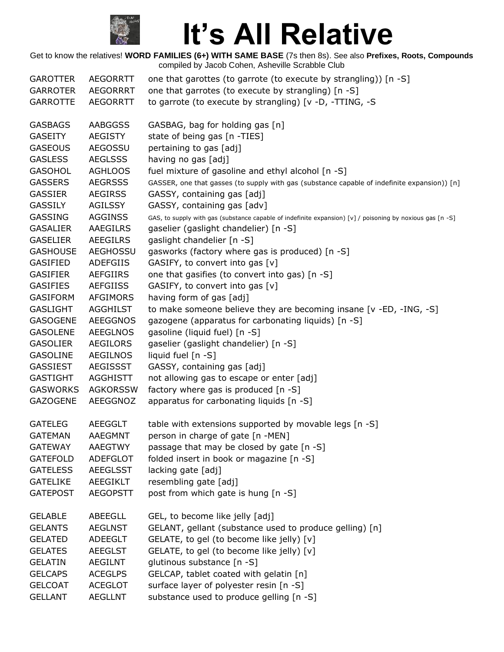

| <b>GAROTTER</b> | <b>AEGORRTT</b> | one that garottes (to garrote (to execute by strangling)) [n -S]                                          |
|-----------------|-----------------|-----------------------------------------------------------------------------------------------------------|
| <b>GARROTER</b> | <b>AEGORRRT</b> | one that garrotes (to execute by strangling) [n -S]                                                       |
| <b>GARROTTE</b> | <b>AEGORRTT</b> | to garrote (to execute by strangling) [v -D, -TTING, -S                                                   |
|                 |                 |                                                                                                           |
| <b>GASBAGS</b>  | AABGGSS         | GASBAG, bag for holding gas [n]                                                                           |
| <b>GASEITY</b>  | <b>AEGISTY</b>  | state of being gas [n -TIES]                                                                              |
| <b>GASEOUS</b>  | <b>AEGOSSU</b>  | pertaining to gas [adj]                                                                                   |
| <b>GASLESS</b>  | <b>AEGLSSS</b>  | having no gas [adj]                                                                                       |
| <b>GASOHOL</b>  | <b>AGHLOOS</b>  | fuel mixture of gasoline and ethyl alcohol [n -S]                                                         |
| <b>GASSERS</b>  | <b>AEGRSSS</b>  | GASSER, one that gasses (to supply with gas (substance capable of indefinite expansion)) [n]              |
| <b>GASSIER</b>  | <b>AEGIRSS</b>  | GASSY, containing gas [adj]                                                                               |
| <b>GASSILY</b>  | <b>AGILSSY</b>  | GASSY, containing gas [adv]                                                                               |
| <b>GASSING</b>  | <b>AGGINSS</b>  | GAS, to supply with gas (substance capable of indefinite expansion) [v] / poisoning by noxious gas [n -S] |
| <b>GASALIER</b> | AAEGILRS        | gaselier (gaslight chandelier) [n -S]                                                                     |
| <b>GASELIER</b> | <b>AEEGILRS</b> | gaslight chandelier [n -S]                                                                                |
| <b>GASHOUSE</b> | <b>AEGHOSSU</b> | gasworks (factory where gas is produced) [n -S]                                                           |
| <b>GASIFIED</b> | <b>ADEFGIIS</b> | GASIFY, to convert into gas [v]                                                                           |
| <b>GASIFIER</b> | AEFGIIRS        | one that gasifies (to convert into gas) [n -S]                                                            |
| <b>GASIFIES</b> | <b>AEFGIISS</b> | GASIFY, to convert into gas [v]                                                                           |
| <b>GASIFORM</b> | <b>AFGIMORS</b> | having form of gas [adj]                                                                                  |
| <b>GASLIGHT</b> | <b>AGGHILST</b> | to make someone believe they are becoming insane [v -ED, -ING, -S]                                        |
| <b>GASOGENE</b> | <b>AEEGGNOS</b> | gazogene (apparatus for carbonating liquids) [n -S]                                                       |
| <b>GASOLENE</b> | <b>AEEGLNOS</b> | gasoline (liquid fuel) [n -S]                                                                             |
| <b>GASOLIER</b> | AEGILORS        | gaselier (gaslight chandelier) [n -S]                                                                     |
| <b>GASOLINE</b> | <b>AEGILNOS</b> | liquid fuel [n -S]                                                                                        |
| <b>GASSIEST</b> | <b>AEGISSST</b> | GASSY, containing gas [adj]                                                                               |
| <b>GASTIGHT</b> | <b>AGGHISTT</b> | not allowing gas to escape or enter [adj]                                                                 |
| <b>GASWORKS</b> | <b>AGKORSSW</b> | factory where gas is produced [n -S]                                                                      |
| <b>GAZOGENE</b> | AEEGGNOZ        | apparatus for carbonating liquids [n -S]                                                                  |
|                 |                 |                                                                                                           |
| <b>GATELEG</b>  | <b>AEEGGLT</b>  | table with extensions supported by movable legs [n -S]                                                    |
| <b>GATEMAN</b>  | AAEGMNT         | person in charge of gate [n -MEN]                                                                         |
| <b>GATEWAY</b>  | <b>AAEGTWY</b>  | passage that may be closed by gate [n -S]                                                                 |
| <b>GATEFOLD</b> | <b>ADEFGLOT</b> | folded insert in book or magazine [n -S]                                                                  |
| <b>GATELESS</b> | <b>AEEGLSST</b> | lacking gate [adj]                                                                                        |
| <b>GATELIKE</b> | AEEGIKLT        | resembling gate [adj]                                                                                     |
| <b>GATEPOST</b> | <b>AEGOPSTT</b> | post from which gate is hung [n -S]                                                                       |
| <b>GELABLE</b>  | ABEEGLL         | GEL, to become like jelly [adj]                                                                           |
| <b>GELANTS</b>  | <b>AEGLNST</b>  | GELANT, gellant (substance used to produce gelling) [n]                                                   |
| <b>GELATED</b>  | ADEEGLT         | GELATE, to gel (to become like jelly) [v]                                                                 |
| <b>GELATES</b>  | <b>AEEGLST</b>  | GELATE, to gel (to become like jelly) [v]                                                                 |
| <b>GELATIN</b>  | <b>AEGILNT</b>  | glutinous substance [n -S]                                                                                |
| <b>GELCAPS</b>  |                 |                                                                                                           |
|                 | <b>ACEGLPS</b>  | GELCAP, tablet coated with gelatin [n]                                                                    |
| <b>GELCOAT</b>  | <b>ACEGLOT</b>  | surface layer of polyester resin [n -S]                                                                   |
| <b>GELLANT</b>  | <b>AEGLLNT</b>  | substance used to produce gelling [n -S]                                                                  |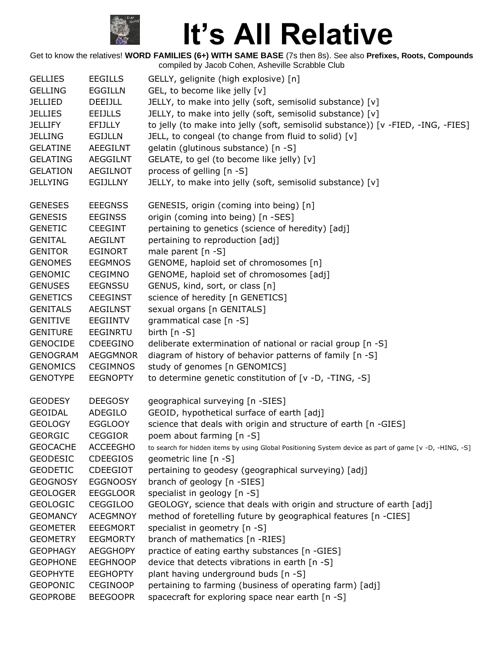

| <b>GELLIES</b>  | <b>EEGILLS</b>  | GELLY, gelignite (high explosive) [n]                                                                  |
|-----------------|-----------------|--------------------------------------------------------------------------------------------------------|
| <b>GELLING</b>  | <b>EGGILLN</b>  | GEL, to become like jelly [v]                                                                          |
| <b>JELLIED</b>  | <b>DEEIJLL</b>  | JELLY, to make into jelly (soft, semisolid substance) [v]                                              |
| <b>JELLIES</b>  | <b>EEIJLLS</b>  | JELLY, to make into jelly (soft, semisolid substance) [v]                                              |
| <b>JELLIFY</b>  | <b>EFIJLLY</b>  | to jelly (to make into jelly (soft, semisolid substance)) [v -FIED, -ING, -FIES]                       |
| <b>JELLING</b>  | <b>EGIJLLN</b>  | JELL, to congeal (to change from fluid to solid) [v]                                                   |
| <b>GELATINE</b> | AEEGILNT        | gelatin (glutinous substance) [n -S]                                                                   |
| <b>GELATING</b> | <b>AEGGILNT</b> | GELATE, to gel (to become like jelly) [v]                                                              |
| <b>GELATION</b> | <b>AEGILNOT</b> | process of gelling [n -S]                                                                              |
| <b>JELLYING</b> | <b>EGIJLLNY</b> | JELLY, to make into jelly (soft, semisolid substance) [v]                                              |
| <b>GENESES</b>  | <b>EEEGNSS</b>  | GENESIS, origin (coming into being) [n]                                                                |
| <b>GENESIS</b>  | <b>EEGINSS</b>  | origin (coming into being) [n -SES]                                                                    |
| <b>GENETIC</b>  | <b>CEEGINT</b>  | pertaining to genetics (science of heredity) [adj]                                                     |
| <b>GENITAL</b>  | AEGILNT         | pertaining to reproduction [adj]                                                                       |
| <b>GENITOR</b>  | <b>EGINORT</b>  | male parent $[n -S]$                                                                                   |
| <b>GENOMES</b>  | <b>EEGMNOS</b>  | GENOME, haploid set of chromosomes [n]                                                                 |
| <b>GENOMIC</b>  | <b>CEGIMNO</b>  | GENOME, haploid set of chromosomes [adj]                                                               |
| <b>GENUSES</b>  | <b>EEGNSSU</b>  | GENUS, kind, sort, or class [n]                                                                        |
| <b>GENETICS</b> | <b>CEEGINST</b> | science of heredity [n GENETICS]                                                                       |
| <b>GENITALS</b> | <b>AEGILNST</b> | sexual organs [n GENITALS]                                                                             |
| <b>GENITIVE</b> | <b>EEGIINTV</b> | grammatical case [n -S]                                                                                |
| <b>GENITURE</b> | <b>EEGINRTU</b> | birth $[n - S]$                                                                                        |
| <b>GENOCIDE</b> | CDEEGINO        | deliberate extermination of national or racial group [n -S]                                            |
| <b>GENOGRAM</b> | <b>AEGGMNOR</b> | diagram of history of behavior patterns of family [n -S]                                               |
| <b>GENOMICS</b> | <b>CEGIMNOS</b> | study of genomes [n GENOMICS]                                                                          |
| <b>GENOTYPE</b> | <b>EEGNOPTY</b> | to determine genetic constitution of [v -D, -TING, -S]                                                 |
| <b>GEODESY</b>  | <b>DEEGOSY</b>  | geographical surveying [n -SIES]                                                                       |
| <b>GEOIDAL</b>  | ADEGILO         | GEOID, hypothetical surface of earth [adj]                                                             |
| <b>GEOLOGY</b>  | <b>EGGLOOY</b>  | science that deals with origin and structure of earth [n -GIES]                                        |
| <b>GEORGIC</b>  | <b>CEGGIOR</b>  | poem about farming [n -S]                                                                              |
| <b>GEOCACHE</b> | <b>ACCEEGHO</b> | to search for hidden items by using Global Positioning System device as part of game [v -D, -HING, -S] |
| <b>GEODESIC</b> | <b>CDEEGIOS</b> | geometric line [n -S]                                                                                  |
| <b>GEODETIC</b> | <b>CDEEGIOT</b> | pertaining to geodesy (geographical surveying) [adj]                                                   |
| <b>GEOGNOSY</b> | <b>EGGNOOSY</b> | branch of geology [n -SIES]                                                                            |
| <b>GEOLOGER</b> | <b>EEGGLOOR</b> | specialist in geology [n -S]                                                                           |
| <b>GEOLOGIC</b> | <b>CEGGILOO</b> | GEOLOGY, science that deals with origin and structure of earth [adj]                                   |
| <b>GEOMANCY</b> | <b>ACEGMNOY</b> | method of foretelling future by geographical features [n -CIES]                                        |
| <b>GEOMETER</b> | <b>EEEGMORT</b> | specialist in geometry [n -S]                                                                          |
| <b>GEOMETRY</b> | <b>EEGMORTY</b> | branch of mathematics [n -RIES]                                                                        |
| <b>GEOPHAGY</b> | <b>AEGGHOPY</b> | practice of eating earthy substances [n -GIES]                                                         |
| <b>GEOPHONE</b> | <b>EEGHNOOP</b> | device that detects vibrations in earth [n -S]                                                         |
| <b>GEOPHYTE</b> | <b>EEGHOPTY</b> | plant having underground buds [n -S]                                                                   |
| <b>GEOPONIC</b> | <b>CEGINOOP</b> | pertaining to farming (business of operating farm) [adj]                                               |
| <b>GEOPROBE</b> | <b>BEEGOOPR</b> | spacecraft for exploring space near earth [n -S]                                                       |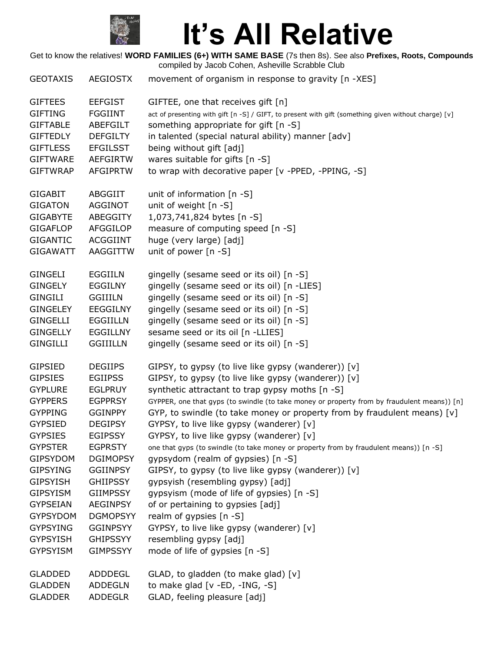

| <b>GEOTAXIS</b> | <b>AEGIOSTX</b> | movement of organism in response to gravity [n -XES]                                                 |
|-----------------|-----------------|------------------------------------------------------------------------------------------------------|
| <b>GIFTEES</b>  | <b>EEFGIST</b>  | GIFTEE, one that receives gift [n]                                                                   |
| <b>GIFTING</b>  | <b>FGGIINT</b>  | act of presenting with gift [n -S] / GIFT, to present with gift (something given without charge) [v] |
| <b>GIFTABLE</b> | <b>ABEFGILT</b> | something appropriate for gift [n -S]                                                                |
| <b>GIFTEDLY</b> | <b>DEFGILTY</b> | in talented (special natural ability) manner [adv]                                                   |
| <b>GIFTLESS</b> | <b>EFGILSST</b> | being without gift [adj]                                                                             |
| <b>GIFTWARE</b> | <b>AEFGIRTW</b> | wares suitable for gifts [n -S]                                                                      |
| <b>GIFTWRAP</b> | <b>AFGIPRTW</b> | to wrap with decorative paper [v -PPED, -PPING, -S]                                                  |
| <b>GIGABIT</b>  | ABGGIIT         | unit of information $[n -S]$                                                                         |
| <b>GIGATON</b>  | <b>AGGINOT</b>  | unit of weight [n -S]                                                                                |
| <b>GIGABYTE</b> | ABEGGITY        | 1,073,741,824 bytes [n -S]                                                                           |
| <b>GIGAFLOP</b> | AFGGILOP        | measure of computing speed [n -S]                                                                    |
| <b>GIGANTIC</b> | <b>ACGGIINT</b> | huge (very large) [adj]                                                                              |
| <b>GIGAWATT</b> | AAGGITTW        | unit of power $[n - S]$                                                                              |
| <b>GINGELI</b>  | <b>EGGIILN</b>  | gingelly (sesame seed or its oil) [n -S]                                                             |
| <b>GINGELY</b>  | <b>EGGILNY</b>  | gingelly (sesame seed or its oil) [n -LIES]                                                          |
| <b>GINGILI</b>  | <b>GGIIILN</b>  | gingelly (sesame seed or its oil) [n -S]                                                             |
| <b>GINGELEY</b> | <b>EEGGILNY</b> | gingelly (sesame seed or its oil) [n -S]                                                             |
| <b>GINGELLI</b> | <b>EGGIILLN</b> | gingelly (sesame seed or its oil) [n -S]                                                             |
| <b>GINGELLY</b> | <b>EGGILLNY</b> | sesame seed or its oil [n -LLIES]                                                                    |
| <b>GINGILLI</b> | <b>GGIIILLN</b> | gingelly (sesame seed or its oil) [n -S]                                                             |
| <b>GIPSIED</b>  | <b>DEGIIPS</b>  | GIPSY, to gypsy (to live like gypsy (wanderer)) [v]                                                  |
| <b>GIPSIES</b>  | <b>EGIIPSS</b>  | GIPSY, to gypsy (to live like gypsy (wanderer)) [v]                                                  |
| <b>GYPLURE</b>  | <b>EGLPRUY</b>  | synthetic attractant to trap gypsy moths [n -S]                                                      |
| <b>GYPPERS</b>  | <b>EGPPRSY</b>  | GYPPER, one that gyps (to swindle (to take money or property from by fraudulent means)) [n]          |
| <b>GYPPING</b>  | <b>GGINPPY</b>  | GYP, to swindle (to take money or property from by fraudulent means) [v]                             |
| <b>GYPSIED</b>  | <b>DEGIPSY</b>  | GYPSY, to live like gypsy (wanderer) [v]                                                             |
| <b>GYPSIES</b>  | <b>EGIPSSY</b>  | GYPSY, to live like gypsy (wanderer) [v]                                                             |
| <b>GYPSTER</b>  | <b>EGPRSTY</b>  | one that gyps (to swindle (to take money or property from by fraudulent means)) [n -S]               |
| <b>GIPSYDOM</b> | <b>DGIMOPSY</b> | gypsydom (realm of gypsies) [n -S]                                                                   |
| <b>GIPSYING</b> | <b>GGIINPSY</b> | GIPSY, to gypsy (to live like gypsy (wanderer)) [v]                                                  |
| <b>GIPSYISH</b> | <b>GHIIPSSY</b> | gypsyish (resembling gypsy) [adj]                                                                    |
| <b>GIPSYISM</b> | <b>GIIMPSSY</b> | gypsyism (mode of life of gypsies) [n -S]                                                            |
| <b>GYPSEIAN</b> | <b>AEGINPSY</b> | of or pertaining to gypsies [adj]                                                                    |
| <b>GYPSYDOM</b> | <b>DGMOPSYY</b> | realm of gypsies [n -S]                                                                              |
| <b>GYPSYING</b> | <b>GGINPSYY</b> | GYPSY, to live like gypsy (wanderer) [v]                                                             |
| <b>GYPSYISH</b> | <b>GHIPSSYY</b> | resembling gypsy [adj]                                                                               |
| <b>GYPSYISM</b> | <b>GIMPSSYY</b> | mode of life of gypsies [n -S]                                                                       |
| <b>GLADDED</b>  | ADDDEGL         | GLAD, to gladden (to make glad) [v]                                                                  |
| <b>GLADDEN</b>  | <b>ADDEGLN</b>  | to make glad [v -ED, -ING, -S]                                                                       |
| <b>GLADDER</b>  | <b>ADDEGLR</b>  | GLAD, feeling pleasure [adj]                                                                         |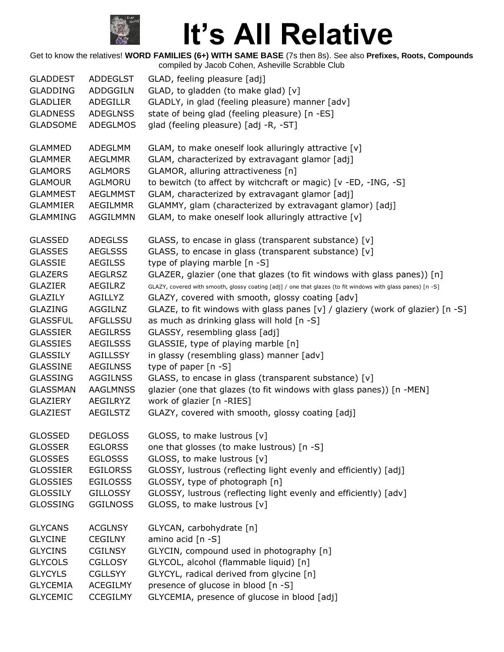

| <b>GLADDEST</b> | ADDEGLST        | GLAD, feeling pleasure [adj]                                                                                |
|-----------------|-----------------|-------------------------------------------------------------------------------------------------------------|
| <b>GLADDING</b> | ADDGGILN        | GLAD, to gladden (to make glad) [v]                                                                         |
| <b>GLADLIER</b> | ADEGILLR        | GLADLY, in glad (feeling pleasure) manner [adv]                                                             |
| <b>GLADNESS</b> | <b>ADEGLNSS</b> | state of being glad (feeling pleasure) [n -ES]                                                              |
| <b>GLADSOME</b> | <b>ADEGLMOS</b> | glad (feeling pleasure) [adj -R, -ST]                                                                       |
| <b>GLAMMED</b>  | ADEGLMM         | GLAM, to make oneself look alluringly attractive [v]                                                        |
| <b>GLAMMER</b>  | <b>AEGLMMR</b>  | GLAM, characterized by extravagant glamor [adj]                                                             |
| <b>GLAMORS</b>  | <b>AGLMORS</b>  | GLAMOR, alluring attractiveness [n]                                                                         |
| <b>GLAMOUR</b>  | AGLMORU         | to bewitch (to affect by witchcraft or magic) [v -ED, -ING, -S]                                             |
| <b>GLAMMEST</b> | <b>AEGLMMST</b> | GLAM, characterized by extravagant glamor [adj]                                                             |
| <b>GLAMMIER</b> | AEGILMMR        | GLAMMY, glam (characterized by extravagant glamor) [adj]                                                    |
| <b>GLAMMING</b> | AGGILMMN        | GLAM, to make oneself look alluringly attractive [v]                                                        |
| <b>GLASSED</b>  | <b>ADEGLSS</b>  | GLASS, to encase in glass (transparent substance) [v]                                                       |
| <b>GLASSES</b>  | <b>AEGLSSS</b>  | GLASS, to encase in glass (transparent substance) [v]                                                       |
| <b>GLASSIE</b>  | <b>AEGILSS</b>  | type of playing marble [n -S]                                                                               |
| <b>GLAZERS</b>  | <b>AEGLRSZ</b>  | GLAZER, glazier (one that glazes (to fit windows with glass panes)) [n]                                     |
| <b>GLAZIER</b>  | AEGILRZ         | GLAZY, covered with smooth, glossy coating [adj] / one that glazes (to fit windows with glass panes) [n -S] |
| <b>GLAZILY</b>  | AGILLYZ         | GLAZY, covered with smooth, glossy coating [adv]                                                            |
| <b>GLAZING</b>  | AGGILNZ         | GLAZE, to fit windows with glass panes $[v]$ / glaziery (work of glazier) $[n -S]$                          |
| <b>GLASSFUL</b> | AFGLLSSU        | as much as drinking glass will hold [n -S]                                                                  |
| <b>GLASSIER</b> | <b>AEGILRSS</b> | GLASSY, resembling glass [adj]                                                                              |
| <b>GLASSIES</b> | <b>AEGILSSS</b> | GLASSIE, type of playing marble [n]                                                                         |
| <b>GLASSILY</b> | AGILLSSY        | in glassy (resembling glass) manner [adv]                                                                   |
| <b>GLASSINE</b> | <b>AEGILNSS</b> | type of paper $[n - S]$                                                                                     |
| <b>GLASSING</b> | <b>AGGILNSS</b> | GLASS, to encase in glass (transparent substance) [v]                                                       |
| <b>GLASSMAN</b> | <b>AAGLMNSS</b> | glazier (one that glazes (to fit windows with glass panes)) [n -MEN]                                        |
| <b>GLAZIERY</b> | AEGILRYZ        | work of glazier [n -RIES]                                                                                   |
| <b>GLAZIEST</b> | <b>AEGILSTZ</b> | GLAZY, covered with smooth, glossy coating [adj]                                                            |
| <b>GLOSSED</b>  | <b>DEGLOSS</b>  | GLOSS, to make lustrous [v]                                                                                 |
| <b>GLOSSER</b>  | <b>EGLORSS</b>  | one that glosses (to make lustrous) [n -S]                                                                  |
| <b>GLOSSES</b>  | <b>EGLOSSS</b>  | GLOSS, to make lustrous [v]                                                                                 |
| <b>GLOSSIER</b> | <b>EGILORSS</b> | GLOSSY, lustrous (reflecting light evenly and efficiently) [adj]                                            |
| <b>GLOSSIES</b> | <b>EGILOSSS</b> | GLOSSY, type of photograph [n]                                                                              |
| <b>GLOSSILY</b> | <b>GILLOSSY</b> | GLOSSY, lustrous (reflecting light evenly and efficiently) [adv]                                            |
| <b>GLOSSING</b> | <b>GGILNOSS</b> | GLOSS, to make lustrous [v]                                                                                 |
| <b>GLYCANS</b>  | <b>ACGLNSY</b>  | GLYCAN, carbohydrate [n]                                                                                    |
| <b>GLYCINE</b>  | <b>CEGILNY</b>  | amino acid [n -S]                                                                                           |
| <b>GLYCINS</b>  | <b>CGILNSY</b>  | GLYCIN, compound used in photography [n]                                                                    |
| <b>GLYCOLS</b>  | <b>CGLLOSY</b>  | GLYCOL, alcohol (flammable liquid) [n]                                                                      |
| <b>GLYCYLS</b>  | <b>CGLLSYY</b>  | GLYCYL, radical derived from glycine [n]                                                                    |
| <b>GLYCEMIA</b> | <b>ACEGILMY</b> | presence of glucose in blood [n -S]                                                                         |
| <b>GLYCEMIC</b> | <b>CCEGILMY</b> | GLYCEMIA, presence of glucose in blood [adj]                                                                |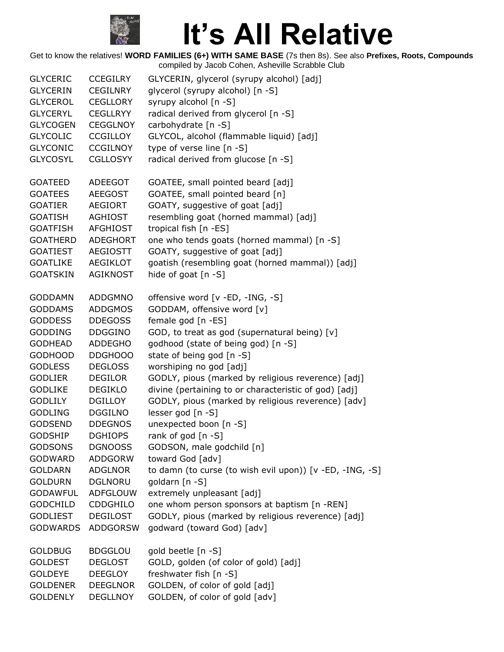

| <b>GLYCERIC</b> | <b>CCEGILRY</b> | GLYCERIN, glycerol (syrupy alcohol) [adj]                |
|-----------------|-----------------|----------------------------------------------------------|
| <b>GLYCERIN</b> | <b>CEGILNRY</b> | glycerol (syrupy alcohol) [n -S]                         |
| <b>GLYCEROL</b> | <b>CEGLLORY</b> | syrupy alcohol [n -S]                                    |
| <b>GLYCERYL</b> | <b>CEGLLRYY</b> | radical derived from glycerol [n -S]                     |
| <b>GLYCOGEN</b> | <b>CEGGLNOY</b> | carbohydrate [n -S]                                      |
| <b>GLYCOLIC</b> | <b>CCGILLOY</b> | GLYCOL, alcohol (flammable liquid) [adj]                 |
| <b>GLYCONIC</b> | <b>CCGILNOY</b> | type of verse line [n -S]                                |
| <b>GLYCOSYL</b> | <b>CGLLOSYY</b> | radical derived from glucose [n -S]                      |
| <b>GOATEED</b>  | <b>ADEEGOT</b>  | GOATEE, small pointed beard [adj]                        |
| <b>GOATEES</b>  | <b>AEEGOST</b>  | GOATEE, small pointed beard [n]                          |
| <b>GOATIER</b>  | <b>AEGIORT</b>  | GOATY, suggestive of goat [adj]                          |
| <b>GOATISH</b>  | <b>AGHIOST</b>  | resembling goat (horned mammal) [adj]                    |
| <b>GOATFISH</b> | AFGHIOST        | tropical fish [n -ES]                                    |
| <b>GOATHERD</b> | <b>ADEGHORT</b> | one who tends goats (horned mammal) [n -S]               |
| <b>GOATIEST</b> | AEGIOSTT        | GOATY, suggestive of goat [adj]                          |
| <b>GOATLIKE</b> | AEGIKLOT        | goatish (resembling goat (horned mammal)) [adj]          |
| <b>GOATSKIN</b> | <b>AGIKNOST</b> | hide of goat [n -S]                                      |
| <b>GODDAMN</b>  | ADDGMNO         | offensive word [v -ED, -ING, -S]                         |
| <b>GODDAMS</b>  | <b>ADDGMOS</b>  | GODDAM, offensive word [v]                               |
| <b>GODDESS</b>  | <b>DDEGOSS</b>  | female god [n -ES]                                       |
| <b>GODDING</b>  | <b>DDGGINO</b>  | GOD, to treat as god (supernatural being) [v]            |
| <b>GODHEAD</b>  | <b>ADDEGHO</b>  | godhood (state of being god) [n -S]                      |
| <b>GODHOOD</b>  | DDGHOOO         | state of being god [n -S]                                |
| <b>GODLESS</b>  | <b>DEGLOSS</b>  | worshiping no god [adj]                                  |
| <b>GODLIER</b>  | <b>DEGILOR</b>  | GODLY, pious (marked by religious reverence) [adj]       |
| <b>GODLIKE</b>  | <b>DEGIKLO</b>  | divine (pertaining to or characteristic of god) [adj]    |
| <b>GODLILY</b>  | <b>DGILLOY</b>  | GODLY, pious (marked by religious reverence) [adv]       |
| <b>GODLING</b>  | <b>DGGILNO</b>  | lesser god [n -S]                                        |
| <b>GODSEND</b>  | <b>DDEGNOS</b>  | unexpected boon [n -S]                                   |
| <b>GODSHIP</b>  | <b>DGHIOPS</b>  | rank of god [n -S]                                       |
| <b>GODSONS</b>  | <b>DGNOOSS</b>  | GODSON, male godchild [n]                                |
| <b>GODWARD</b>  | <b>ADDGORW</b>  | toward God [adv]                                         |
| <b>GOLDARN</b>  | <b>ADGLNOR</b>  | to damn (to curse (to wish evil upon)) [v -ED, -ING, -S] |
| <b>GOLDURN</b>  | <b>DGLNORU</b>  | goldarn [n -S]                                           |
| <b>GODAWFUL</b> | <b>ADFGLOUW</b> | extremely unpleasant [adj]                               |
| <b>GODCHILD</b> | <b>CDDGHILO</b> | one whom person sponsors at baptism [n -REN]             |
| <b>GODLIEST</b> | <b>DEGILOST</b> | GODLY, pious (marked by religious reverence) [adj]       |
| <b>GODWARDS</b> | <b>ADDGORSW</b> | godward (toward God) [adv]                               |
| <b>GOLDBUG</b>  | <b>BDGGLOU</b>  | gold beetle [n -S]                                       |
| <b>GOLDEST</b>  | <b>DEGLOST</b>  | GOLD, golden (of color of gold) [adj]                    |
| <b>GOLDEYE</b>  | <b>DEEGLOY</b>  | freshwater fish [n -S]                                   |
| <b>GOLDENER</b> | <b>DEEGLNOR</b> | GOLDEN, of color of gold [adj]                           |
| <b>GOLDENLY</b> | DEGLLNOY        | GOLDEN, of color of gold [adv]                           |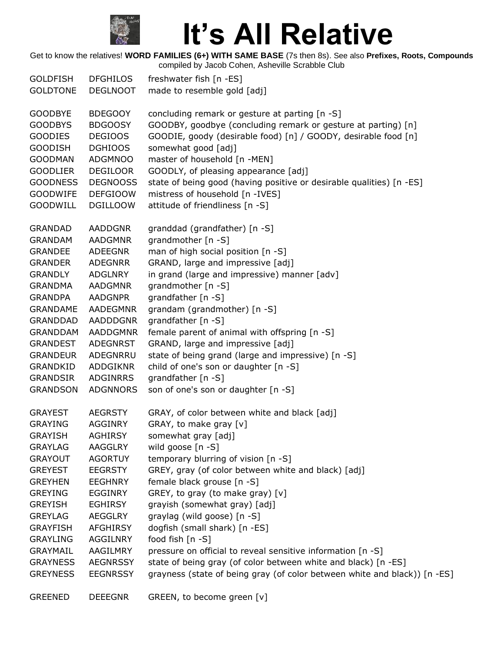

| <b>GOLDFISH</b><br><b>GOLDTONE</b> | <b>DFGHILOS</b><br><b>DEGLNOOT</b> | freshwater fish [n -ES]<br>made to resemble gold [adj]                    |
|------------------------------------|------------------------------------|---------------------------------------------------------------------------|
| <b>GOODBYE</b>                     | <b>BDEGOOY</b>                     | concluding remark or gesture at parting [n -S]                            |
| <b>GOODBYS</b>                     | <b>BDGOOSY</b>                     | GOODBY, goodbye (concluding remark or gesture at parting) [n]             |
| <b>GOODIES</b>                     | <b>DEGIOOS</b>                     | GOODIE, goody (desirable food) [n] / GOODY, desirable food [n]            |
| <b>GOODISH</b>                     | <b>DGHIOOS</b>                     | somewhat good [adj]                                                       |
| <b>GOODMAN</b>                     | ADGMNOO                            | master of household [n -MEN]                                              |
| <b>GOODLIER</b>                    | <b>DEGILOOR</b>                    | GOODLY, of pleasing appearance [adj]                                      |
| <b>GOODNESS</b>                    | <b>DEGNOOSS</b>                    | state of being good (having positive or desirable qualities) [n -ES]      |
| <b>GOODWIFE</b>                    | <b>DEFGIOOW</b>                    | mistress of household [n -IVES]                                           |
| <b>GOODWILL</b>                    | <b>DGILLOOW</b>                    | attitude of friendliness [n -S]                                           |
|                                    |                                    |                                                                           |
| <b>GRANDAD</b>                     | <b>AADDGNR</b>                     | granddad (grandfather) [n -S]                                             |
| <b>GRANDAM</b>                     | <b>AADGMNR</b>                     | grandmother [n -S]                                                        |
| <b>GRANDEE</b>                     | <b>ADEEGNR</b>                     | man of high social position [n -S]                                        |
| <b>GRANDER</b>                     | <b>ADEGNRR</b>                     | GRAND, large and impressive [adj]                                         |
| <b>GRANDLY</b>                     | ADGLNRY                            | in grand (large and impressive) manner [adv]                              |
| <b>GRANDMA</b>                     | <b>AADGMNR</b>                     | grandmother [n -S]                                                        |
| <b>GRANDPA</b>                     | <b>AADGNPR</b>                     | grandfather [n -S]                                                        |
| <b>GRANDAME</b>                    | <b>AADEGMNR</b>                    | grandam (grandmother) [n -S]                                              |
| <b>GRANDDAD</b>                    | <b>AADDDGNR</b>                    | grandfather [n -S]                                                        |
| <b>GRANDDAM</b>                    | <b>AADDGMNR</b>                    | female parent of animal with offspring [n -S]                             |
| <b>GRANDEST</b>                    | <b>ADEGNRST</b>                    | GRAND, large and impressive [adj]                                         |
| <b>GRANDEUR</b>                    | ADEGNRRU                           | state of being grand (large and impressive) [n -S]                        |
| GRANDKID                           | ADDGIKNR                           | child of one's son or daughter [n -S]                                     |
| <b>GRANDSIR</b>                    | ADGINRRS                           | grandfather [n -S]                                                        |
| <b>GRANDSON</b>                    | <b>ADGNNORS</b>                    | son of one's son or daughter [n -S]                                       |
| <b>GRAYEST</b>                     | <b>AEGRSTY</b>                     | GRAY, of color between white and black [adj]                              |
| <b>GRAYING</b>                     | <b>AGGINRY</b>                     | GRAY, to make gray [v]                                                    |
| <b>GRAYISH</b>                     | <b>AGHIRSY</b>                     | somewhat gray [adj]                                                       |
| <b>GRAYLAG</b>                     | AAGGLRY                            | wild goose $[n -S]$                                                       |
| <b>GRAYOUT</b>                     | <b>AGORTUY</b>                     | temporary blurring of vision [n -S]                                       |
| <b>GREYEST</b>                     | <b>EEGRSTY</b>                     | GREY, gray (of color between white and black) [adj]                       |
| <b>GREYHEN</b>                     | <b>EEGHNRY</b>                     | female black grouse [n -S]                                                |
| <b>GREYING</b>                     | <b>EGGINRY</b>                     | GREY, to gray (to make gray) [v]                                          |
| <b>GREYISH</b>                     | <b>EGHIRSY</b>                     | grayish (somewhat gray) [adj]                                             |
| <b>GREYLAG</b>                     | <b>AEGGLRY</b>                     | graylag (wild goose) [n -S]                                               |
| <b>GRAYFISH</b>                    | AFGHIRSY                           | dogfish (small shark) [n -ES]                                             |
| <b>GRAYLING</b>                    | AGGILNRY                           | food fish [n -S]                                                          |
| <b>GRAYMAIL</b>                    | AAGILMRY                           | pressure on official to reveal sensitive information [n -S]               |
| <b>GRAYNESS</b>                    | <b>AEGNRSSY</b>                    | state of being gray (of color between white and black) [n -ES]            |
| <b>GREYNESS</b>                    | <b>EEGNRSSY</b>                    | grayness (state of being gray (of color between white and black)) [n -ES] |
| <b>GREENED</b>                     | <b>DEEEGNR</b>                     | GREEN, to become green [v]                                                |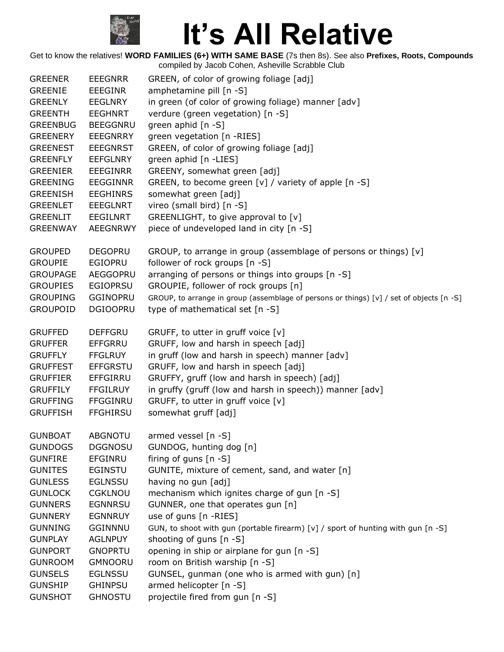

| <b>GREENER</b><br><b>GREENIE</b><br><b>GREENLY</b><br><b>GREENTH</b><br><b>GREENBUG</b><br><b>GREENERY</b><br><b>GREENEST</b><br><b>GREENFLY</b><br><b>GREENIER</b><br><b>GREENING</b> | <b>EEEGNRR</b><br><b>EEEGINR</b><br><b>EEGLNRY</b><br><b>EEGHNRT</b><br><b>BEEGGNRU</b><br><b>EEEGNRRY</b><br><b>EEEGNRST</b><br><b>EEFGLNRY</b><br><b>EEEGINRR</b><br><b>EEGGINNR</b> | GREEN, of color of growing foliage [adj]<br>amphetamine pill [n -S]<br>in green (of color of growing foliage) manner [adv]<br>verdure (green vegetation) [n -S]<br>green aphid [n -S]<br>green vegetation [n -RIES]<br>GREEN, of color of growing foliage [adj]<br>green aphid [n -LIES]<br>GREENY, somewhat green [adj]<br>GREEN, to become green [v] / variety of apple [n -S] |
|----------------------------------------------------------------------------------------------------------------------------------------------------------------------------------------|----------------------------------------------------------------------------------------------------------------------------------------------------------------------------------------|----------------------------------------------------------------------------------------------------------------------------------------------------------------------------------------------------------------------------------------------------------------------------------------------------------------------------------------------------------------------------------|
| <b>GREENISH</b>                                                                                                                                                                        | <b>EEGHINRS</b>                                                                                                                                                                        | somewhat green [adj]                                                                                                                                                                                                                                                                                                                                                             |
| <b>GREENLET</b>                                                                                                                                                                        | <b>EEEGLNRT</b>                                                                                                                                                                        | vireo (small bird) [n -S]                                                                                                                                                                                                                                                                                                                                                        |
| <b>GREENLIT</b>                                                                                                                                                                        | EEGILNRT                                                                                                                                                                               | GREENLIGHT, to give approval to [v]                                                                                                                                                                                                                                                                                                                                              |
| <b>GREENWAY</b>                                                                                                                                                                        | <b>AEEGNRWY</b>                                                                                                                                                                        | piece of undeveloped land in city [n -S]                                                                                                                                                                                                                                                                                                                                         |
| <b>GROUPED</b><br><b>GROUPIE</b><br><b>GROUPAGE</b><br><b>GROUPIES</b><br><b>GROUPING</b><br><b>GROUPOID</b>                                                                           | <b>DEGOPRU</b><br><b>EGIOPRU</b><br><b>AEGGOPRU</b><br>EGIOPRSU<br><b>GGINOPRU</b><br><b>DGIOOPRU</b>                                                                                  | GROUP, to arrange in group (assemblage of persons or things) [v]<br>follower of rock groups [n -S]<br>arranging of persons or things into groups [n -S]<br>GROUPIE, follower of rock groups [n]<br>GROUP, to arrange in group (assemblage of persons or things) [v] / set of objects [n -S]<br>type of mathematical set [n -S]                                                   |
| <b>GRUFFED</b><br><b>GRUFFER</b><br><b>GRUFFLY</b><br><b>GRUFFEST</b><br><b>GRUFFIER</b><br><b>GRUFFILY</b><br><b>GRUFFING</b><br><b>GRUFFISH</b>                                      | <b>DEFFGRU</b><br><b>EFFGRRU</b><br><b>FFGLRUY</b><br><b>EFFGRSTU</b><br>EFFGIRRU<br><b>FFGILRUY</b><br>FFGGINRU<br><b>FFGHIRSU</b>                                                    | GRUFF, to utter in gruff voice [v]<br>GRUFF, low and harsh in speech [adj]<br>in gruff (low and harsh in speech) manner [adv]<br>GRUFF, low and harsh in speech [adj]<br>GRUFFY, gruff (low and harsh in speech) [adj]<br>in gruffy (gruff (low and harsh in speech)) manner [adv]<br>GRUFF, to utter in gruff voice [v]<br>somewhat gruff [adj]                                 |
| <b>GUNBOAT</b><br><b>GUNDOGS</b><br><b>GUNFIRE</b><br><b>GUNITES</b><br><b>GUNLESS</b><br><b>GUNLOCK</b><br><b>GUNNERS</b>                                                             | <b>ABGNOTU</b><br><b>DGGNOSU</b><br>EFGINRU<br><b>EGINSTU</b><br><b>EGLNSSU</b><br><b>CGKLNOU</b><br><b>EGNNRSU</b>                                                                    | armed vessel [n -S]<br>GUNDOG, hunting dog [n]<br>firing of guns [n -S]<br>GUNITE, mixture of cement, sand, and water [n]<br>having no gun [adj]<br>mechanism which ignites charge of gun [n -S]<br>GUNNER, one that operates gun [n]                                                                                                                                            |
| <b>GUNNERY</b>                                                                                                                                                                         | <b>EGNNRUY</b>                                                                                                                                                                         | use of guns [n -RIES]                                                                                                                                                                                                                                                                                                                                                            |
| <b>GUNNING</b>                                                                                                                                                                         | <b>GGINNNU</b>                                                                                                                                                                         | GUN, to shoot with gun (portable firearm) [v] / sport of hunting with gun [n -S]                                                                                                                                                                                                                                                                                                 |
| <b>GUNPLAY</b>                                                                                                                                                                         | <b>AGLNPUY</b>                                                                                                                                                                         | shooting of guns [n -S]                                                                                                                                                                                                                                                                                                                                                          |
| <b>GUNPORT</b>                                                                                                                                                                         | <b>GNOPRTU</b>                                                                                                                                                                         | opening in ship or airplane for gun [n -S]                                                                                                                                                                                                                                                                                                                                       |
| <b>GUNROOM</b>                                                                                                                                                                         | <b>GMNOORU</b>                                                                                                                                                                         | room on British warship [n -S]                                                                                                                                                                                                                                                                                                                                                   |
| <b>GUNSELS</b>                                                                                                                                                                         | <b>EGLNSSU</b>                                                                                                                                                                         | GUNSEL, gunman (one who is armed with gun) [n]                                                                                                                                                                                                                                                                                                                                   |
| <b>GUNSHIP</b>                                                                                                                                                                         | <b>GHINPSU</b>                                                                                                                                                                         | armed helicopter [n -S]                                                                                                                                                                                                                                                                                                                                                          |
| <b>GUNSHOT</b>                                                                                                                                                                         | <b>GHNOSTU</b>                                                                                                                                                                         | projectile fired from gun [n -S]                                                                                                                                                                                                                                                                                                                                                 |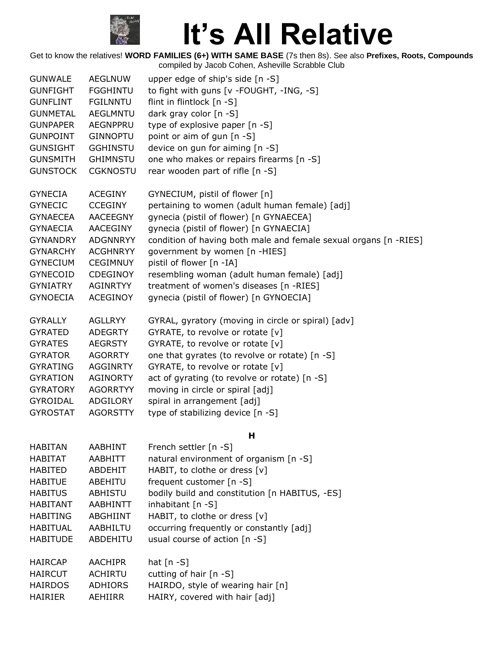

| <b>GUNWALE</b>  | <b>AEGLNUW</b>  | upper edge of ship's side [n -S]                                 |
|-----------------|-----------------|------------------------------------------------------------------|
| <b>GUNFIGHT</b> | <b>FGGHINTU</b> | to fight with guns [v -FOUGHT, -ING, -S]                         |
| <b>GUNFLINT</b> | <b>FGILNNTU</b> | flint in flintlock [n -S]                                        |
| <b>GUNMETAL</b> | <b>AEGLMNTU</b> | dark gray color [n -S]                                           |
| <b>GUNPAPER</b> | <b>AEGNPPRU</b> | type of explosive paper [n -S]                                   |
| <b>GUNPOINT</b> | <b>GINNOPTU</b> | point or aim of gun [n -S]                                       |
| <b>GUNSIGHT</b> | <b>GGHINSTU</b> | device on gun for aiming [n -S]                                  |
| <b>GUNSMITH</b> | <b>GHIMNSTU</b> | one who makes or repairs firearms [n -S]                         |
| <b>GUNSTOCK</b> | <b>CGKNOSTU</b> | rear wooden part of rifle [n -S]                                 |
|                 |                 |                                                                  |
| <b>GYNECIA</b>  | <b>ACEGINY</b>  | GYNECIUM, pistil of flower [n]                                   |
| <b>GYNECIC</b>  | <b>CCEGINY</b>  | pertaining to women (adult human female) [adj]                   |
| <b>GYNAECEA</b> | <b>AACEEGNY</b> | gynecia (pistil of flower) [n GYNAECEA]                          |
| <b>GYNAECIA</b> | AACEGINY        | gynecia (pistil of flower) [n GYNAECIA]                          |
| <b>GYNANDRY</b> | <b>ADGNNRYY</b> | condition of having both male and female sexual organs [n -RIES] |
| <b>GYNARCHY</b> | <b>ACGHNRYY</b> | government by women [n -HIES]                                    |
| <b>GYNECIUM</b> | <b>CEGIMNUY</b> | pistil of flower [n -IA]                                         |
| <b>GYNECOID</b> | CDEGINOY        | resembling woman (adult human female) [adj]                      |
| <b>GYNIATRY</b> | AGINRTYY        | treatment of women's diseases [n -RIES]                          |
| <b>GYNOECIA</b> | <b>ACEGINOY</b> | gynecia (pistil of flower) [n GYNOECIA]                          |
|                 |                 |                                                                  |
| <b>GYRALLY</b>  | <b>AGLLRYY</b>  | GYRAL, gyratory (moving in circle or spiral) [adv]               |
| <b>GYRATED</b>  | <b>ADEGRTY</b>  | GYRATE, to revolve or rotate [v]                                 |
| <b>GYRATES</b>  | <b>AEGRSTY</b>  | GYRATE, to revolve or rotate [v]                                 |
| <b>GYRATOR</b>  | <b>AGORRTY</b>  | one that gyrates (to revolve or rotate) [n -S]                   |
| <b>GYRATING</b> | <b>AGGINRTY</b> | GYRATE, to revolve or rotate [v]                                 |
| <b>GYRATION</b> | <b>AGINORTY</b> | act of gyrating (to revolve or rotate) [n -S]                    |
| <b>GYRATORY</b> | <b>AGORRTYY</b> | moving in circle or spiral [adj]                                 |
| <b>GYROIDAL</b> | ADGILORY        | spiral in arrangement [adj]                                      |
| <b>GYROSTAT</b> | <b>AGORSTTY</b> | type of stabilizing device [n -S]                                |
|                 |                 |                                                                  |
|                 |                 | н                                                                |
| <b>HABITAN</b>  | <b>AABHINT</b>  | French settler [n -S]                                            |
| <b>HABITAT</b>  | AABHITT         | natural environment of organism [n -S]                           |
| <b>HABITED</b>  | ABDEHIT         | HABIT, to clothe or dress [v]                                    |
| <b>HABITUE</b>  | ABEHITU         | frequent customer [n -S]                                         |
| <b>HABITUS</b>  | ABHISTU         | bodily build and constitution [n HABITUS, -ES]                   |
| <b>HABITANT</b> | AABHINTT        | inhabitant [n -S]                                                |
| <b>HABITING</b> | ABGHIINT        | HABIT, to clothe or dress [v]                                    |
| <b>HABITUAL</b> | AABHILTU        | occurring frequently or constantly [adj]                         |
| <b>HABITUDE</b> | ABDEHITU        | usual course of action [n -S]                                    |
|                 |                 |                                                                  |
| <b>HAIRCAP</b>  | <b>AACHIPR</b>  | hat $[n - S]$                                                    |
| <b>HAIRCUT</b>  | <b>ACHIRTU</b>  | cutting of hair $[n -S]$                                         |
| <b>HAIRDOS</b>  | <b>ADHIORS</b>  | HAIRDO, style of wearing hair [n]                                |
| <b>HAIRIER</b>  | AEHIIRR         | HAIRY, covered with hair [adj]                                   |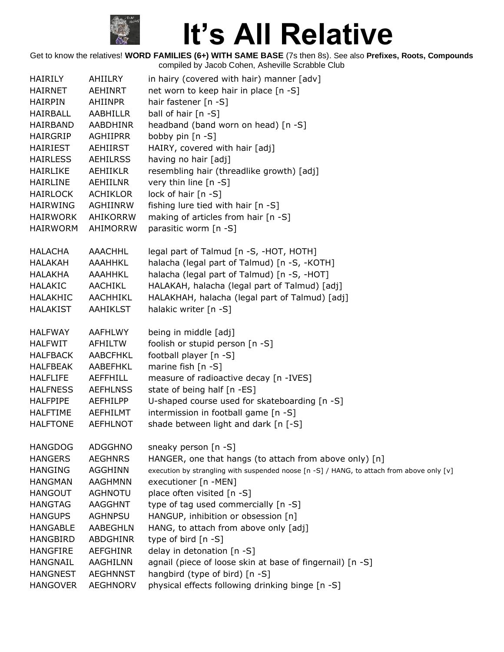

| <b>HAIRILY</b><br><b>HAIRNET</b><br><b>HAIRPIN</b><br>HAIRBALL<br>HAIRBAND<br><b>HAIRGRIP</b><br><b>HAIRIEST</b><br><b>HAIRLESS</b><br><b>HAIRLIKE</b><br><b>HAIRLINE</b><br><b>HAIRLOCK</b><br><b>HAIRWING</b><br><b>HAIRWORK</b><br><b>HAIRWORM</b> | AHIILRY<br><b>AEHINRT</b><br><b>AHIINPR</b><br>AABHILLR<br>AABDHINR<br>AGHIIPRR<br>AEHIIRST<br><b>AEHILRSS</b><br><b>AEHIIKLR</b><br>AEHIILNR<br><b>ACHIKLOR</b><br>AGHIINRW<br>AHIKORRW<br>AHIMORRW | in hairy (covered with hair) manner [adv]<br>net worn to keep hair in place [n -S]<br>hair fastener [n -S]<br>ball of hair [n -S]<br>headband (band worn on head) [n -S]<br>bobby pin [n -S]<br>HAIRY, covered with hair [adj]<br>having no hair [adj]<br>resembling hair (threadlike growth) [adj]<br>very thin line [n -S]<br>lock of hair [n -S]<br>fishing lure tied with hair [n -S]<br>making of articles from hair [n -S]<br>parasitic worm [n -S] |
|-------------------------------------------------------------------------------------------------------------------------------------------------------------------------------------------------------------------------------------------------------|------------------------------------------------------------------------------------------------------------------------------------------------------------------------------------------------------|-----------------------------------------------------------------------------------------------------------------------------------------------------------------------------------------------------------------------------------------------------------------------------------------------------------------------------------------------------------------------------------------------------------------------------------------------------------|
| <b>HALACHA</b>                                                                                                                                                                                                                                        | <b>AAACHHL</b>                                                                                                                                                                                       | legal part of Talmud [n -S, -HOT, HOTH]                                                                                                                                                                                                                                                                                                                                                                                                                   |
| <b>HALAKAH</b>                                                                                                                                                                                                                                        | <b>AAAHHKL</b>                                                                                                                                                                                       | halacha (legal part of Talmud) [n -S, -KOTH]                                                                                                                                                                                                                                                                                                                                                                                                              |
| <b>HALAKHA</b>                                                                                                                                                                                                                                        | AAAHHKL                                                                                                                                                                                              | halacha (legal part of Talmud) [n -S, -HOT]                                                                                                                                                                                                                                                                                                                                                                                                               |
| <b>HALAKIC</b>                                                                                                                                                                                                                                        | AACHIKL                                                                                                                                                                                              | HALAKAH, halacha (legal part of Talmud) [adj]                                                                                                                                                                                                                                                                                                                                                                                                             |
| <b>HALAKHIC</b>                                                                                                                                                                                                                                       | <b>AACHHIKL</b>                                                                                                                                                                                      | HALAKHAH, halacha (legal part of Talmud) [adj]                                                                                                                                                                                                                                                                                                                                                                                                            |
| <b>HALAKIST</b>                                                                                                                                                                                                                                       | <b>AAHIKLST</b>                                                                                                                                                                                      | halakic writer [n -S]                                                                                                                                                                                                                                                                                                                                                                                                                                     |
| <b>HALFWAY</b>                                                                                                                                                                                                                                        | <b>AAFHLWY</b>                                                                                                                                                                                       | being in middle [adj]                                                                                                                                                                                                                                                                                                                                                                                                                                     |
| <b>HALFWIT</b>                                                                                                                                                                                                                                        | AFHILTW                                                                                                                                                                                              | foolish or stupid person [n -S]                                                                                                                                                                                                                                                                                                                                                                                                                           |
| <b>HALFBACK</b>                                                                                                                                                                                                                                       | AABCFHKL                                                                                                                                                                                             | football player [n -S]                                                                                                                                                                                                                                                                                                                                                                                                                                    |
| <b>HALFBEAK</b>                                                                                                                                                                                                                                       | AABEFHKL                                                                                                                                                                                             | marine fish $[n - S]$                                                                                                                                                                                                                                                                                                                                                                                                                                     |
| <b>HALFLIFE</b>                                                                                                                                                                                                                                       | <b>AEFFHILL</b>                                                                                                                                                                                      | measure of radioactive decay [n -IVES]                                                                                                                                                                                                                                                                                                                                                                                                                    |
| <b>HALFNESS</b>                                                                                                                                                                                                                                       | <b>AEFHLNSS</b>                                                                                                                                                                                      | state of being half [n -ES]                                                                                                                                                                                                                                                                                                                                                                                                                               |
| <b>HALFPIPE</b>                                                                                                                                                                                                                                       | AEFHILPP                                                                                                                                                                                             | U-shaped course used for skateboarding [n -S]                                                                                                                                                                                                                                                                                                                                                                                                             |
| <b>HALFTIME</b>                                                                                                                                                                                                                                       | AEFHILMT                                                                                                                                                                                             | intermission in football game [n -S]                                                                                                                                                                                                                                                                                                                                                                                                                      |
| <b>HALFTONE</b>                                                                                                                                                                                                                                       | <b>AEFHLNOT</b>                                                                                                                                                                                      | shade between light and dark [n [-S]                                                                                                                                                                                                                                                                                                                                                                                                                      |
| <b>HANGDOG</b>                                                                                                                                                                                                                                        | <b>ADGGHNO</b>                                                                                                                                                                                       | sneaky person $[n - S]$                                                                                                                                                                                                                                                                                                                                                                                                                                   |
| <b>HANGERS</b>                                                                                                                                                                                                                                        | <b>AEGHNRS</b>                                                                                                                                                                                       | HANGER, one that hangs (to attach from above only) [n]                                                                                                                                                                                                                                                                                                                                                                                                    |
| <b>HANGING</b>                                                                                                                                                                                                                                        | AGGHINN                                                                                                                                                                                              | execution by strangling with suspended noose [n -S] / HANG, to attach from above only [v]                                                                                                                                                                                                                                                                                                                                                                 |
| <b>HANGMAN</b>                                                                                                                                                                                                                                        | <b>AAGHMNN</b>                                                                                                                                                                                       | executioner [n -MEN]                                                                                                                                                                                                                                                                                                                                                                                                                                      |
| <b>HANGOUT</b>                                                                                                                                                                                                                                        | <b>AGHNOTU</b>                                                                                                                                                                                       | place often visited [n -S]                                                                                                                                                                                                                                                                                                                                                                                                                                |
| <b>HANGTAG</b>                                                                                                                                                                                                                                        | <b>AAGGHNT</b>                                                                                                                                                                                       | type of tag used commercially [n -S]                                                                                                                                                                                                                                                                                                                                                                                                                      |
| <b>HANGUPS</b>                                                                                                                                                                                                                                        | <b>AGHNPSU</b>                                                                                                                                                                                       | HANGUP, inhibition or obsession [n]                                                                                                                                                                                                                                                                                                                                                                                                                       |
| <b>HANGABLE</b>                                                                                                                                                                                                                                       | AABEGHLN                                                                                                                                                                                             | HANG, to attach from above only [adj]                                                                                                                                                                                                                                                                                                                                                                                                                     |
| <b>HANGBIRD</b>                                                                                                                                                                                                                                       | <b>ABDGHINR</b>                                                                                                                                                                                      | type of bird $[n - S]$                                                                                                                                                                                                                                                                                                                                                                                                                                    |
| <b>HANGFIRE</b>                                                                                                                                                                                                                                       | AEFGHINR                                                                                                                                                                                             | delay in detonation [n -S]                                                                                                                                                                                                                                                                                                                                                                                                                                |
| <b>HANGNAIL</b>                                                                                                                                                                                                                                       | AAGHILNN                                                                                                                                                                                             | agnail (piece of loose skin at base of fingernail) [n -S]                                                                                                                                                                                                                                                                                                                                                                                                 |
| <b>HANGNEST</b><br><b>HANGOVER</b>                                                                                                                                                                                                                    | <b>AEGHNNST</b><br><b>AEGHNORV</b>                                                                                                                                                                   | hangbird (type of bird) [n -S]<br>physical effects following drinking binge [n -S]                                                                                                                                                                                                                                                                                                                                                                        |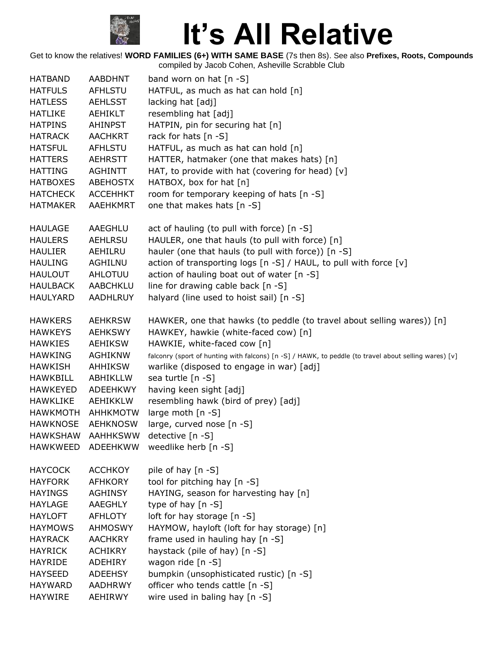

| <b>HATBAND</b>  | AABDHNT         | band worn on hat $[n - S]$                                                                            |
|-----------------|-----------------|-------------------------------------------------------------------------------------------------------|
| <b>HATFULS</b>  | <b>AFHLSTU</b>  | HATFUL, as much as hat can hold [n]                                                                   |
| <b>HATLESS</b>  | <b>AEHLSST</b>  | lacking hat [adj]                                                                                     |
| <b>HATLIKE</b>  | AEHIKLT         | resembling hat [adj]                                                                                  |
| <b>HATPINS</b>  | <b>AHINPST</b>  | HATPIN, pin for securing hat [n]                                                                      |
| <b>HATRACK</b>  | <b>AACHKRT</b>  | rack for hats [n -S]                                                                                  |
| <b>HATSFUL</b>  | <b>AFHLSTU</b>  | HATFUL, as much as hat can hold [n]                                                                   |
| <b>HATTERS</b>  | <b>AEHRSTT</b>  | HATTER, hatmaker (one that makes hats) [n]                                                            |
| <b>HATTING</b>  | <b>AGHINTT</b>  | HAT, to provide with hat (covering for head) [v]                                                      |
| <b>HATBOXES</b> | <b>ABEHOSTX</b> | HATBOX, box for hat [n]                                                                               |
| <b>HATCHECK</b> | <b>ACCEHHKT</b> | room for temporary keeping of hats [n -S]                                                             |
| <b>HATMAKER</b> | <b>AAEHKMRT</b> | one that makes hats [n -S]                                                                            |
|                 |                 |                                                                                                       |
| <b>HAULAGE</b>  | AAEGHLU         | act of hauling (to pull with force) [n -S]                                                            |
| <b>HAULERS</b>  | <b>AEHLRSU</b>  | HAULER, one that hauls (to pull with force) [n]                                                       |
| <b>HAULIER</b>  | AEHILRU         | hauler (one that hauls (to pull with force)) [n -S]                                                   |
| <b>HAULING</b>  | AGHILNU         | action of transporting logs [n -S] / HAUL, to pull with force [v]                                     |
| <b>HAULOUT</b>  | AHLOTUU         | action of hauling boat out of water [n -S]                                                            |
| HAULBACK        | AABCHKLU        | line for drawing cable back [n -S]                                                                    |
| <b>HAULYARD</b> | <b>AADHLRUY</b> | halyard (line used to hoist sail) [n -S]                                                              |
|                 |                 |                                                                                                       |
| <b>HAWKERS</b>  | <b>AEHKRSW</b>  | HAWKER, one that hawks (to peddle (to travel about selling wares)) [n]                                |
| <b>HAWKEYS</b>  | <b>AEHKSWY</b>  | HAWKEY, hawkie (white-faced cow) [n]                                                                  |
| <b>HAWKIES</b>  | <b>AEHIKSW</b>  | HAWKIE, white-faced cow [n]                                                                           |
| <b>HAWKING</b>  | AGHIKNW         | falconry (sport of hunting with falcons) [n -S] / HAWK, to peddle (to travel about selling wares) [v] |
| <b>HAWKISH</b>  | AHHIKSW         | warlike (disposed to engage in war) [adj]                                                             |
| <b>HAWKBILL</b> | ABHIKLLW        | sea turtle [n -S]                                                                                     |
| <b>HAWKEYED</b> | <b>ADEEHKWY</b> | having keen sight [adj]                                                                               |
| HAWKLIKE        | AEHIKKLW        | resembling hawk (bird of prey) [adj]                                                                  |
| <b>HAWKMOTH</b> | <b>AHHKMOTW</b> | large moth [n -S]                                                                                     |
| <b>HAWKNOSE</b> | <b>AEHKNOSW</b> | large, curved nose [n -S]                                                                             |
| <b>HAWKSHAW</b> | <b>AAHHKSWW</b> | detective [n -S]                                                                                      |
| <b>HAWKWEED</b> | ADEEHKWW        | weedlike herb [n -S]                                                                                  |
|                 |                 |                                                                                                       |
| <b>HAYCOCK</b>  | <b>ACCHKOY</b>  | pile of hay [n -S]                                                                                    |
| <b>HAYFORK</b>  | <b>AFHKORY</b>  | tool for pitching hay [n -S]                                                                          |
| <b>HAYINGS</b>  | <b>AGHINSY</b>  | HAYING, season for harvesting hay [n]                                                                 |
| <b>HAYLAGE</b>  | <b>AAEGHLY</b>  | type of hay [n -S]                                                                                    |
| <b>HAYLOFT</b>  | <b>AFHLOTY</b>  | loft for hay storage [n -S]                                                                           |
| <b>HAYMOWS</b>  | <b>AHMOSWY</b>  | HAYMOW, hayloft (loft for hay storage) [n]                                                            |
| <b>HAYRACK</b>  | <b>AACHKRY</b>  | frame used in hauling hay [n -S]                                                                      |
| <b>HAYRICK</b>  | <b>ACHIKRY</b>  | haystack (pile of hay) [n -S]                                                                         |
| <b>HAYRIDE</b>  | <b>ADEHIRY</b>  | wagon ride [n -S]                                                                                     |
| <b>HAYSEED</b>  | <b>ADEEHSY</b>  | bumpkin (unsophisticated rustic) [n -S]                                                               |
| <b>HAYWARD</b>  | <b>AADHRWY</b>  | officer who tends cattle [n -S]                                                                       |
| <b>HAYWIRE</b>  | AEHIRWY         | wire used in baling hay [n -S]                                                                        |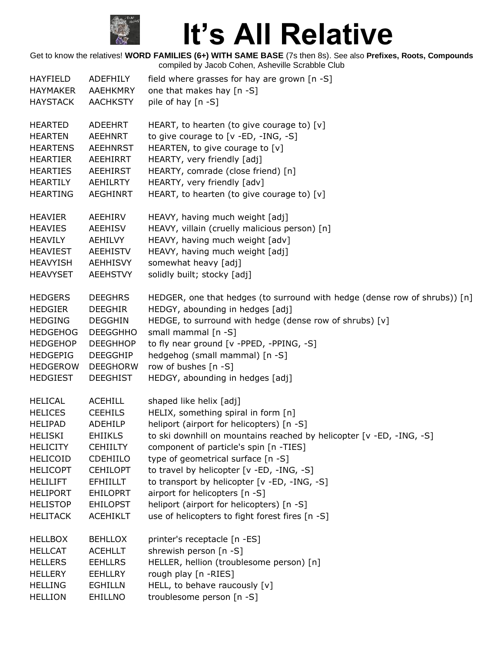

| <b>HAYFIELD</b> | ADEFHILY        | field where grasses for hay are grown [n -S]                               |
|-----------------|-----------------|----------------------------------------------------------------------------|
| <b>HAYMAKER</b> | <b>AAEHKMRY</b> | one that makes hay [n -S]                                                  |
| <b>HAYSTACK</b> | <b>AACHKSTY</b> | pile of hay [n -S]                                                         |
| <b>HEARTED</b>  | ADEEHRT         | HEART, to hearten (to give courage to) $[v]$                               |
| <b>HEARTEN</b>  | <b>AEEHNRT</b>  | to give courage to $[v - ED, -ING, -S]$                                    |
| <b>HEARTENS</b> | <b>AEEHNRST</b> | HEARTEN, to give courage to [v]                                            |
| <b>HEARTIER</b> | AEEHIRRT        | HEARTY, very friendly [adj]                                                |
| <b>HEARTIES</b> | <b>AEEHIRST</b> | HEARTY, comrade (close friend) [n]                                         |
| <b>HEARTILY</b> | <b>AEHILRTY</b> | HEARTY, very friendly [adv]                                                |
| <b>HEARTING</b> | <b>AEGHINRT</b> | HEART, to hearten (to give courage to) [v]                                 |
| <b>HEAVIER</b>  | AEEHIRV         | HEAVY, having much weight [adj]                                            |
| <b>HEAVIES</b>  | AEEHISV         | HEAVY, villain (cruelly malicious person) [n]                              |
| <b>HEAVILY</b>  | AEHILVY         | HEAVY, having much weight [adv]                                            |
| <b>HEAVIEST</b> | <b>AEEHISTV</b> | HEAVY, having much weight [adj]                                            |
| <b>HEAVYISH</b> | <b>AEHHISVY</b> | somewhat heavy [adj]                                                       |
| <b>HEAVYSET</b> | <b>AEEHSTVY</b> | solidly built; stocky [adj]                                                |
| <b>HEDGERS</b>  | <b>DEEGHRS</b>  | HEDGER, one that hedges (to surround with hedge (dense row of shrubs)) [n] |
| <b>HEDGIER</b>  | <b>DEEGHIR</b>  | HEDGY, abounding in hedges [adj]                                           |
| <b>HEDGING</b>  | <b>DEGGHIN</b>  | HEDGE, to surround with hedge (dense row of shrubs) [v]                    |
| <b>HEDGEHOG</b> | <b>DEEGGHHO</b> | small mammal [n -S]                                                        |
| <b>HEDGEHOP</b> | <b>DEEGHHOP</b> | to fly near ground [v -PPED, -PPING, -S]                                   |
| <b>HEDGEPIG</b> | <b>DEEGGHIP</b> | hedgehog (small mammal) [n -S]                                             |
| <b>HEDGEROW</b> | <b>DEEGHORW</b> | row of bushes [n -S]                                                       |
| <b>HEDGIEST</b> | <b>DEEGHIST</b> | HEDGY, abounding in hedges [adj]                                           |
| <b>HELICAL</b>  | <b>ACEHILL</b>  | shaped like helix [adj]                                                    |
| <b>HELICES</b>  | <b>CEEHILS</b>  | HELIX, something spiral in form [n]                                        |
| <b>HELIPAD</b>  | ADEHILP         | heliport (airport for helicopters) [n -S]                                  |
| <b>HELISKI</b>  | <b>EHIIKLS</b>  | to ski downhill on mountains reached by helicopter [v -ED, -ING, -S]       |
| <b>HELICITY</b> | <b>CEHIILTY</b> | component of particle's spin [n -TIES]                                     |
| <b>HELICOID</b> | <b>CDEHIILO</b> | type of geometrical surface [n -S]                                         |
| <b>HELICOPT</b> | <b>CEHILOPT</b> | to travel by helicopter [v -ED, -ING, -S]                                  |
| <b>HELILIFT</b> | <b>EFHIILLT</b> | to transport by helicopter [v -ED, -ING, -S]                               |
| <b>HELIPORT</b> | <b>EHILOPRT</b> | airport for helicopters [n -S]                                             |
| <b>HELISTOP</b> | <b>EHILOPST</b> | heliport (airport for helicopters) [n -S]                                  |
| <b>HELITACK</b> | <b>ACEHIKLT</b> | use of helicopters to fight forest fires [n -S]                            |
| <b>HELLBOX</b>  | <b>BEHLLOX</b>  | printer's receptacle [n -ES]                                               |
| <b>HELLCAT</b>  | <b>ACEHLLT</b>  | shrewish person [n -S]                                                     |
| <b>HELLERS</b>  | <b>EEHLLRS</b>  | HELLER, hellion (troublesome person) [n]                                   |
| <b>HELLERY</b>  | <b>EEHLLRY</b>  | rough play [n -RIES]                                                       |
| <b>HELLING</b>  | <b>EGHILLN</b>  | HELL, to behave raucously [v]                                              |
| <b>HELLION</b>  | EHILLNO         | troublesome person [n -S]                                                  |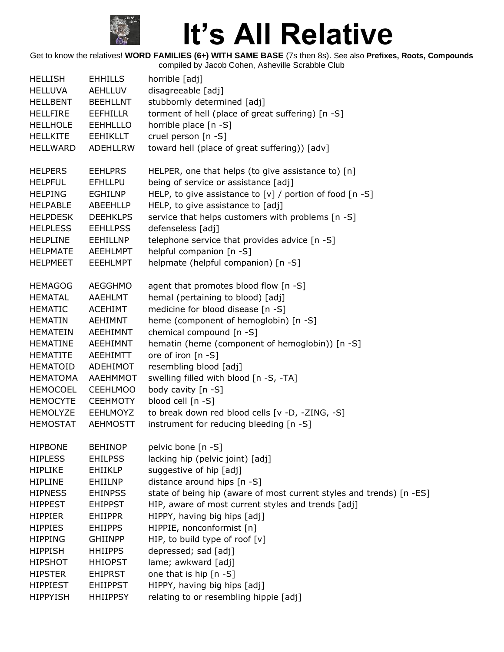

| <b>HELLISH</b>  | <b>EHHILLS</b>  | horrible [adj]                                                       |
|-----------------|-----------------|----------------------------------------------------------------------|
| <b>HELLUVA</b>  | AEHLLUV         | disagreeable [adj]                                                   |
| <b>HELLBENT</b> | <b>BEEHLLNT</b> | stubbornly determined [adj]                                          |
| <b>HELLFIRE</b> | <b>EEFHILLR</b> | torment of hell (place of great suffering) [n -S]                    |
| <b>HELLHOLE</b> | <b>EEHHLLLO</b> | horrible place [n -S]                                                |
| <b>HELLKITE</b> | <b>EEHIKLLT</b> | cruel person [n -S]                                                  |
| HELLWARD        | ADEHLLRW        | toward hell (place of great suffering)) [adv]                        |
| <b>HELPERS</b>  | <b>EEHLPRS</b>  | HELPER, one that helps (to give assistance to) [n]                   |
| <b>HELPFUL</b>  | <b>EFHLLPU</b>  | being of service or assistance [adj]                                 |
| <b>HELPING</b>  | EGHILNP         | HELP, to give assistance to $[v]$ / portion of food $[n - S]$        |
| <b>HELPABLE</b> | ABEEHLLP        | HELP, to give assistance to [adj]                                    |
| <b>HELPDESK</b> | <b>DEEHKLPS</b> | service that helps customers with problems [n -S]                    |
| <b>HELPLESS</b> | <b>EEHLLPSS</b> | defenseless [adj]                                                    |
| <b>HELPLINE</b> | <b>EEHILLNP</b> | telephone service that provides advice [n -S]                        |
| <b>HELPMATE</b> | <b>AEEHLMPT</b> | helpful companion [n -S]                                             |
| <b>HELPMEET</b> | <b>EEEHLMPT</b> | helpmate (helpful companion) [n -S]                                  |
| <b>HEMAGOG</b>  | <b>AEGGHMO</b>  | agent that promotes blood flow [n -S]                                |
| <b>HEMATAL</b>  | AAEHLMT         | hemal (pertaining to blood) [adj]                                    |
| <b>HEMATIC</b>  | <b>ACEHIMT</b>  | medicine for blood disease [n -S]                                    |
| <b>HEMATIN</b>  | AEHIMNT         | heme (component of hemoglobin) [n -S]                                |
| <b>HEMATEIN</b> | AEEHIMNT        | chemical compound [n -S]                                             |
| <b>HEMATINE</b> | AEEHIMNT        | hematin (heme (component of hemoglobin)) [n -S]                      |
| <b>HEMATITE</b> | AEEHIMTT        | ore of iron [n -S]                                                   |
| <b>HEMATOID</b> | ADEHIMOT        | resembling blood [adj]                                               |
| <b>HEMATOMA</b> | AAEHMMOT        | swelling filled with blood [n -S, -TA]                               |
| <b>HEMOCOEL</b> | <b>CEEHLMOO</b> | body cavity [n -S]                                                   |
| <b>HEMOCYTE</b> | <b>CEEHMOTY</b> | blood cell [n -S]                                                    |
| <b>HEMOLYZE</b> | EEHLMOYZ        | to break down red blood cells [v -D, -ZING, -S]                      |
| <b>HEMOSTAT</b> | <b>AEHMOSTT</b> | instrument for reducing bleeding [n -S]                              |
| <b>HIPBONE</b>  | <b>BEHINOP</b>  | pelvic bone [n -S]                                                   |
| <b>HIPLESS</b>  | <b>EHILPSS</b>  | lacking hip (pelvic joint) [adj]                                     |
| <b>HIPLIKE</b>  | <b>EHIIKLP</b>  | suggestive of hip [adj]                                              |
| <b>HIPLINE</b>  | EHIILNP         | distance around hips [n -S]                                          |
| <b>HIPNESS</b>  | <b>EHINPSS</b>  | state of being hip (aware of most current styles and trends) [n -ES] |
| <b>HIPPEST</b>  | <b>EHIPPST</b>  | HIP, aware of most current styles and trends [adj]                   |
| <b>HIPPIER</b>  | <b>EHIIPPR</b>  | HIPPY, having big hips [adj]                                         |
| <b>HIPPIES</b>  | <b>EHIIPPS</b>  | HIPPIE, nonconformist [n]                                            |
| <b>HIPPING</b>  | <b>GHIINPP</b>  | HIP, to build type of roof $[v]$                                     |
| <b>HIPPISH</b>  | <b>HHIIPPS</b>  | depressed; sad [adj]                                                 |
| <b>HIPSHOT</b>  | <b>HHIOPST</b>  | lame; awkward [adj]                                                  |
| <b>HIPSTER</b>  | <b>EHIPRST</b>  | one that is hip [n -S]                                               |
| <b>HIPPIEST</b> | <b>EHIIPPST</b> | HIPPY, having big hips [adj]                                         |
| <b>HIPPYISH</b> | <b>HHIIPPSY</b> | relating to or resembling hippie [adj]                               |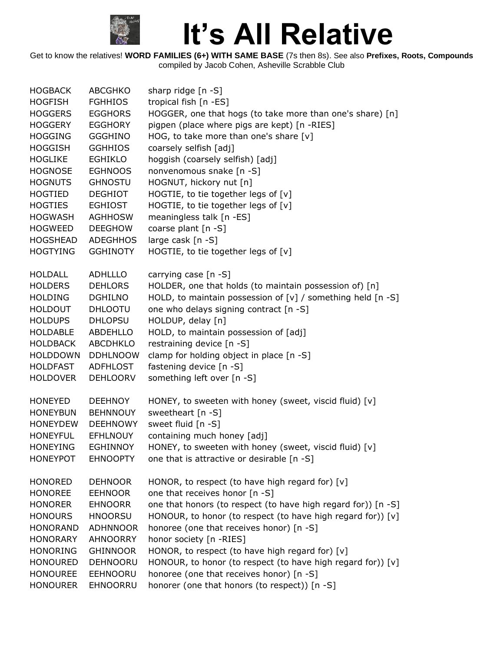

| <b>HOGBACK</b>  | <b>ABCGHKO</b>  | sharp ridge $[n -S]$                                             |
|-----------------|-----------------|------------------------------------------------------------------|
| <b>HOGFISH</b>  | <b>FGHHIOS</b>  | tropical fish [n -ES]                                            |
| <b>HOGGERS</b>  | <b>EGGHORS</b>  | HOGGER, one that hogs (to take more than one's share) [n]        |
| <b>HOGGERY</b>  | <b>EGGHORY</b>  | pigpen (place where pigs are kept) [n -RIES]                     |
| <b>HOGGING</b>  | <b>GGGHINO</b>  | HOG, to take more than one's share [v]                           |
| <b>HOGGISH</b>  | <b>GGHHIOS</b>  | coarsely selfish [adj]                                           |
| <b>HOGLIKE</b>  | <b>EGHIKLO</b>  | hoggish (coarsely selfish) [adj]                                 |
| <b>HOGNOSE</b>  | <b>EGHNOOS</b>  | nonvenomous snake [n -S]                                         |
| <b>HOGNUTS</b>  | <b>GHNOSTU</b>  | HOGNUT, hickory nut [n]                                          |
| HOGTIED         | <b>DEGHIOT</b>  | HOGTIE, to tie together legs of [v]                              |
| <b>HOGTIES</b>  | <b>EGHIOST</b>  | HOGTIE, to tie together legs of [v]                              |
| <b>HOGWASH</b>  | <b>AGHHOSW</b>  | meaningless talk [n -ES]                                         |
| <b>HOGWEED</b>  | <b>DEEGHOW</b>  | coarse plant [n -S]                                              |
| <b>HOGSHEAD</b> | <b>ADEGHHOS</b> | large cask [n -S]                                                |
| <b>HOGTYING</b> | <b>GGHINOTY</b> | HOGTIE, to tie together legs of [v]                              |
| <b>HOLDALL</b>  | <b>ADHLLLO</b>  | carrying case [n -S]                                             |
| <b>HOLDERS</b>  | <b>DEHLORS</b>  | HOLDER, one that holds (to maintain possession of) [n]           |
| <b>HOLDING</b>  | <b>DGHILNO</b>  | HOLD, to maintain possession of $[v]$ / something held $[n - S]$ |
| <b>HOLDOUT</b>  | <b>DHLOOTU</b>  | one who delays signing contract [n -S]                           |
| <b>HOLDUPS</b>  | <b>DHLOPSU</b>  | HOLDUP, delay [n]                                                |
| <b>HOLDABLE</b> | <b>ABDEHLLO</b> | HOLD, to maintain possession of [adj]                            |
| <b>HOLDBACK</b> | <b>ABCDHKLO</b> | restraining device [n -S]                                        |
| <b>HOLDDOWN</b> | <b>DDHLNOOW</b> | clamp for holding object in place [n -S]                         |
| <b>HOLDFAST</b> | <b>ADFHLOST</b> | fastening device [n -S]                                          |
| <b>HOLDOVER</b> | <b>DEHLOORV</b> | something left over [n -S]                                       |
| <b>HONEYED</b>  | <b>DEEHNOY</b>  | HONEY, to sweeten with honey (sweet, viscid fluid) [v]           |
| <b>HONEYBUN</b> | <b>BEHNNOUY</b> | sweetheart [n -S]                                                |
| <b>HONEYDEW</b> | <b>DEEHNOWY</b> | sweet fluid [n -S]                                               |
| <b>HONEYFUL</b> | <b>EFHLNOUY</b> | containing much honey [adj]                                      |
| <b>HONEYING</b> | <b>EGHINNOY</b> | HONEY, to sweeten with honey (sweet, viscid fluid) [v]           |
| <b>HONEYPOT</b> | <b>EHNOOPTY</b> | one that is attractive or desirable [n -S]                       |
| <b>HONORED</b>  | <b>DEHNOOR</b>  | HONOR, to respect (to have high regard for) [v]                  |
| <b>HONOREE</b>  | <b>EEHNOOR</b>  | one that receives honor [n -S]                                   |
| <b>HONORER</b>  | <b>EHNOORR</b>  | one that honors (to respect (to have high regard for)) [n -S]    |
| <b>HONOURS</b>  | <b>HNOORSU</b>  | HONOUR, to honor (to respect (to have high regard for)) [v]      |
| <b>HONORAND</b> | <b>ADHNNOOR</b> | honoree (one that receives honor) [n -S]                         |
| <b>HONORARY</b> | <b>AHNOORRY</b> | honor society [n -RIES]                                          |
| <b>HONORING</b> | <b>GHINNOOR</b> | HONOR, to respect (to have high regard for) [v]                  |
| <b>HONOURED</b> | <b>DEHNOORU</b> | HONOUR, to honor (to respect (to have high regard for)) [v]      |
| <b>HONOUREE</b> | <b>EEHNOORU</b> | honoree (one that receives honor) [n -S]                         |
| <b>HONOURER</b> | EHNOORRU        | honorer (one that honors (to respect)) [n -S]                    |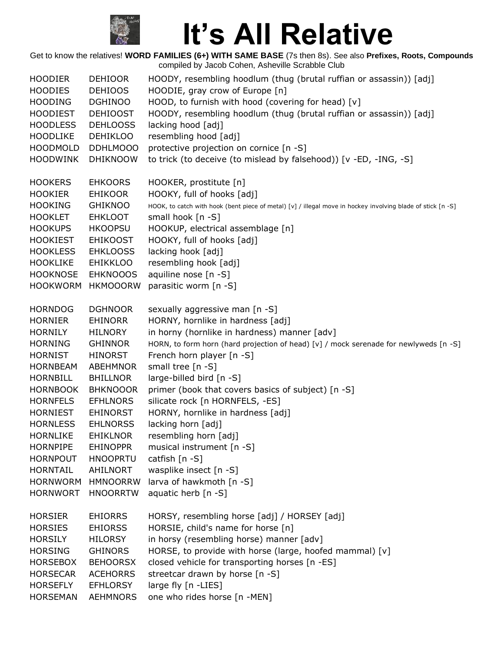

Get to know the relatives! **WORD FAMILIES (6+) WITH SAME BASE** (7s then 8s). See also **Prefixes, Roots, Compounds** compiled by Jacob Cohen, Asheville Scrabble Club HOODIER DEHIOOR HOODY, resembling hoodlum (thug (brutal ruffian or assassin)) [adj] HOODIES DEHIOOS HOODIE, gray crow of Europe [n] HOODING DGHINOO HOOD, to furnish with hood (covering for head) [v] HOODIEST DEHIOOST HOODY, resembling hoodlum (thug (brutal ruffian or assassin)) [adj] HOODLESS DEHLOOSS lacking hood [adj] HOODLIKE DEHIKLOO resembling hood [adj] HOODMOLD DDHLMOOO protective projection on cornice [n -S] HOODWINK DHIKNOOW to trick (to deceive (to mislead by falsehood)) [v -ED, -ING, -S] HOOKERS EHKOORS HOOKER, prostitute [n] HOOKIER EHIKOOR HOOKY, full of hooks [adj] HOOKING GHIKNOO HOOK, to catch with hook (bent piece of metal) [v] / illegal move in hockey involving blade of stick [n -S] HOOKLET EHKLOOT small hook [n -S] HOOKUPS HKOOPSU HOOKUP, electrical assemblage [n] HOOKIEST EHIKOOST HOOKY, full of hooks [adj] HOOKLESS EHKLOOSS lacking hook [adj] HOOKLIKE EHIKKLOO resembling hook [adj] HOOKNOSE EHKNOOOS aquiline nose [n -S] HOOKWORM HKMOOORW parasitic worm [n -S] HORNDOG DGHNOOR sexually aggressive man [n -S] HORNIER EHINORR HORNY, hornlike in hardness [adj] HORNILY HILNORY in horny (hornlike in hardness) manner [adv] HORNING GHINNOR HORN, to form horn (hard projection of head) [v] / mock serenade for newlyweds [n -S] HORNIST HINORST French horn player [n -S] HORNBEAM ABEHMNOR small tree [n -S] HORNBILL BHILLNOR large-billed bird [n -S] HORNBOOK BHKNOOOR primer (book that covers basics of subject) [n -S] HORNFELS EFHLNORS silicate rock [n HORNFELS, -ES] HORNIEST EHINORST HORNY, hornlike in hardness [adj] HORNLESS EHLNORSS lacking horn [adj] HORNLIKE EHIKLNOR resembling horn [adj] HORNPIPE EHINOPPR musical instrument [n -S] HORNPOUT HNOOPRTU catfish [n -S] HORNTAIL AHILNORT wasplike insect [n -S] HORNWORM HMNOORRW larva of hawkmoth [n -S] HORNWORT HNOORRTW aquatic herb [n -S] HORSIER EHIORRS HORSY, resembling horse [adj] / HORSEY [adj] HORSIES EHIORSS HORSIE, child's name for horse [n] HORSILY HILORSY in horsy (resembling horse) manner [adv] HORSING GHINORS HORSE, to provide with horse (large, hoofed mammal) [v] HORSEBOX BEHOORSX closed vehicle for transporting horses [n -ES] HORSECAR ACEHORRS streetcar drawn by horse [n -S] HORSEFLY EFHLORSY large fly [n -LIES] HORSEMAN AEHMNORS one who rides horse [n -MEN]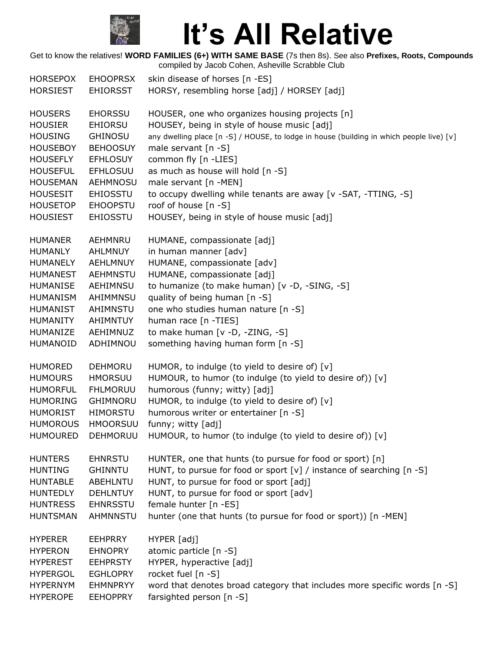

| <b>HORSEPOX</b> | <b>EHOOPRSX</b> | skin disease of horses [n -ES]                                                           |
|-----------------|-----------------|------------------------------------------------------------------------------------------|
| <b>HORSIEST</b> | <b>EHIORSST</b> | HORSY, resembling horse [adj] / HORSEY [adj]                                             |
| <b>HOUSERS</b>  | <b>EHORSSU</b>  | HOUSER, one who organizes housing projects [n]                                           |
| <b>HOUSIER</b>  | <b>EHIORSU</b>  | HOUSEY, being in style of house music [adj]                                              |
| <b>HOUSING</b>  | <b>GHINOSU</b>  | any dwelling place [n -S] / HOUSE, to lodge in house (building in which people live) [v] |
| <b>HOUSEBOY</b> | <b>BEHOOSUY</b> | male servant [n -S]                                                                      |
| <b>HOUSEFLY</b> | <b>EFHLOSUY</b> | common fly [n -LIES]                                                                     |
| <b>HOUSEFUL</b> | <b>EFHLOSUU</b> | as much as house will hold [n -S]                                                        |
| <b>HOUSEMAN</b> | <b>AEHMNOSU</b> | male servant [n -MEN]                                                                    |
| <b>HOUSESIT</b> | <b>EHIOSSTU</b> | to occupy dwelling while tenants are away [v -SAT, -TTING, -S]                           |
| <b>HOUSETOP</b> | <b>EHOOPSTU</b> | roof of house [n -S]                                                                     |
| <b>HOUSIEST</b> | <b>EHIOSSTU</b> | HOUSEY, being in style of house music [adj]                                              |
| <b>HUMANER</b>  | AEHMNRU         | HUMANE, compassionate [adj]                                                              |
| <b>HUMANLY</b>  | <b>AHLMNUY</b>  | in human manner [adv]                                                                    |
| <b>HUMANELY</b> | AEHLMNUY        | HUMANE, compassionate [adv]                                                              |
| <b>HUMANEST</b> | <b>AEHMNSTU</b> | HUMANE, compassionate [adj]                                                              |
| <b>HUMANISE</b> | AEHIMNSU        | to humanize (to make human) [v -D, -SING, -S]                                            |
| <b>HUMANISM</b> | AHIMMNSU        | quality of being human [n -S]                                                            |
| <b>HUMANIST</b> | AHIMNSTU        | one who studies human nature [n -S]                                                      |
| <b>HUMANITY</b> | AHIMNTUY        | human race [n -TIES]                                                                     |
| HUMANIZE        | AEHIMNUZ        | to make human [v -D, -ZING, -S]                                                          |
| HUMANOID        | ADHIMNOU        | something having human form [n -S]                                                       |
| <b>HUMORED</b>  | <b>DEHMORU</b>  | HUMOR, to indulge (to yield to desire of) [v]                                            |
| <b>HUMOURS</b>  | <b>HMORSUU</b>  | HUMOUR, to humor (to indulge (to yield to desire of)) [v]                                |
| <b>HUMORFUL</b> | <b>FHLMORUU</b> | humorous (funny; witty) [adj]                                                            |
| <b>HUMORING</b> | GHIMNORU        | HUMOR, to indulge (to yield to desire of) [v]                                            |
| <b>HUMORIST</b> | HIMORSTU        | humorous writer or entertainer [n -S]                                                    |
| <b>HUMOROUS</b> | <b>HMOORSUU</b> | funny; witty [adj]                                                                       |
| <b>HUMOURED</b> | DEHMORUU        | HUMOUR, to humor (to indulge (to yield to desire of)) [v]                                |
| <b>HUNTERS</b>  | <b>EHNRSTU</b>  | HUNTER, one that hunts (to pursue for food or sport) [n]                                 |
| <b>HUNTING</b>  | <b>GHINNTU</b>  | HUNT, to pursue for food or sport $[v]$ / instance of searching $[n -S]$                 |
| <b>HUNTABLE</b> | ABEHLNTU        | HUNT, to pursue for food or sport [adj]                                                  |
| <b>HUNTEDLY</b> | <b>DEHLNTUY</b> | HUNT, to pursue for food or sport [adv]                                                  |
| <b>HUNTRESS</b> | <b>EHNRSSTU</b> | female hunter [n -ES]                                                                    |
| <b>HUNTSMAN</b> | <b>AHMNNSTU</b> | hunter (one that hunts (to pursue for food or sport)) [n -MEN]                           |
| <b>HYPERER</b>  | <b>EEHPRRY</b>  | HYPER [adj]                                                                              |
| <b>HYPERON</b>  | <b>EHNOPRY</b>  | atomic particle [n -S]                                                                   |
| <b>HYPEREST</b> | <b>EEHPRSTY</b> | HYPER, hyperactive [adj]                                                                 |
| <b>HYPERGOL</b> | <b>EGHLOPRY</b> | rocket fuel [n -S]                                                                       |
| <b>HYPERNYM</b> | <b>EHMNPRYY</b> | word that denotes broad category that includes more specific words [n -S]                |
| <b>HYPEROPE</b> | <b>EEHOPPRY</b> | farsighted person [n -S]                                                                 |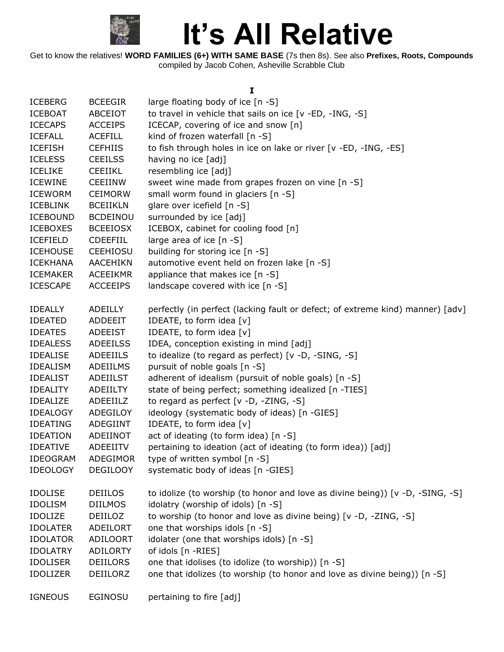

Get to know the relatives! **WORD FAMILIES (6+) WITH SAME BASE** (7s then 8s). See also **Prefixes, Roots, Compounds** compiled by Jacob Cohen, Asheville Scrabble Club

#### **I**

| <b>ICEBERG</b>  | <b>BCEEGIR</b>  | large floating body of ice [n -S]                                              |
|-----------------|-----------------|--------------------------------------------------------------------------------|
| <b>ICEBOAT</b>  | ABCEIOT         | to travel in vehicle that sails on ice [v -ED, -ING, -S]                       |
| <b>ICECAPS</b>  | <b>ACCEIPS</b>  | ICECAP, covering of ice and snow [n]                                           |
| <b>ICEFALL</b>  | <b>ACEFILL</b>  | kind of frozen waterfall [n -S]                                                |
| <b>ICEFISH</b>  | <b>CEFHIIS</b>  | to fish through holes in ice on lake or river [v -ED, -ING, -ES]               |
| <b>ICELESS</b>  | <b>CEEILSS</b>  | having no ice [adj]                                                            |
| <b>ICELIKE</b>  | <b>CEEIIKL</b>  | resembling ice [adj]                                                           |
| <b>ICEWINE</b>  | <b>CEEIINW</b>  | sweet wine made from grapes frozen on vine [n -S]                              |
| <b>ICEWORM</b>  | <b>CEIMORW</b>  | small worm found in glaciers [n -S]                                            |
| <b>ICEBLINK</b> | <b>BCEIIKLN</b> | glare over icefield [n -S]                                                     |
| <b>ICEBOUND</b> | <b>BCDEINOU</b> | surrounded by ice [adj]                                                        |
| <b>ICEBOXES</b> | <b>BCEEIOSX</b> | ICEBOX, cabinet for cooling food [n]                                           |
| <b>ICEFIELD</b> | <b>CDEEFIIL</b> | large area of ice [n -S]                                                       |
| <b>ICEHOUSE</b> | <b>CEEHIOSU</b> | building for storing ice [n -S]                                                |
| <b>ICEKHANA</b> | <b>AACEHIKN</b> | automotive event held on frozen lake [n -S]                                    |
| <b>ICEMAKER</b> | ACEEIKMR        | appliance that makes ice [n -S]                                                |
| <b>ICESCAPE</b> | <b>ACCEEIPS</b> | landscape covered with ice [n -S]                                              |
|                 |                 |                                                                                |
| <b>IDEALLY</b>  | ADEILLY         | perfectly (in perfect (lacking fault or defect; of extreme kind) manner) [adv] |
| <b>IDEATED</b>  | <b>ADDEEIT</b>  | IDEATE, to form idea [v]                                                       |
| <b>IDEATES</b>  | <b>ADEEIST</b>  | IDEATE, to form idea [v]                                                       |
| <b>IDEALESS</b> | <b>ADEEILSS</b> | IDEA, conception existing in mind [adj]                                        |
| <b>IDEALISE</b> | ADEEIILS        | to idealize (to regard as perfect) [v -D, -SING, -S]                           |
| <b>IDEALISM</b> | ADEIILMS        | pursuit of noble goals [n -S]                                                  |
| <b>IDEALIST</b> | ADEIILST        | adherent of idealism (pursuit of noble goals) [n -S]                           |
| <b>IDEALITY</b> | ADEIILTY        | state of being perfect; something idealized [n -TIES]                          |
| <b>IDEALIZE</b> | ADEEIILZ        | to regard as perfect $[v -D, -ZING, -S]$                                       |
| <b>IDEALOGY</b> | ADEGILOY        | ideology (systematic body of ideas) [n -GIES]                                  |
| <b>IDEATING</b> | ADEGIINT        | IDEATE, to form idea [v]                                                       |
| <b>IDEATION</b> | ADEIINOT        | act of ideating (to form idea) [n -S]                                          |
| <b>IDEATIVE</b> | ADEEIITV        | pertaining to ideation (act of ideating (to form idea)) [adj]                  |
| IDEOGRAM        | ADEGIMOR        | type of written symbol [n -S]                                                  |
| <b>IDEOLOGY</b> | <b>DEGILOOY</b> | systematic body of ideas [n -GIES]                                             |
|                 |                 |                                                                                |
| <b>IDOLISE</b>  | <b>DEIILOS</b>  | to idolize (to worship (to honor and love as divine being)) [v -D, -SING, -S]  |
| <b>IDOLISM</b>  | <b>DIILMOS</b>  | idolatry (worship of idols) [n -S]                                             |
| <b>IDOLIZE</b>  | DEIILOZ         | to worship (to honor and love as divine being) [v -D, -ZING, -S]               |
| <b>IDOLATER</b> | ADEILORT        | one that worships idols [n -S]                                                 |
| <b>IDOLATOR</b> | <b>ADILOORT</b> | idolater (one that worships idols) [n -S]                                      |
| <b>IDOLATRY</b> | <b>ADILORTY</b> | of idols [n -RIES]                                                             |
| <b>IDOLISER</b> | <b>DEIILORS</b> | one that idolises (to idolize (to worship)) [n -S]                             |
| <b>IDOLIZER</b> | DEIILORZ        | one that idolizes (to worship (to honor and love as divine being)) [n -S]      |
|                 |                 |                                                                                |
| <b>IGNEOUS</b>  | <b>EGINOSU</b>  | pertaining to fire [adj]                                                       |
|                 |                 |                                                                                |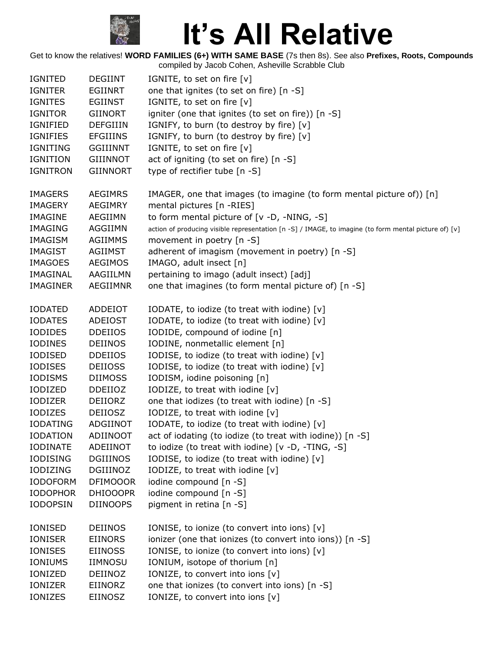

| <b>IGNITED</b>  | <b>DEGIINT</b>  | IGNITE, to set on fire [v]                                                                            |
|-----------------|-----------------|-------------------------------------------------------------------------------------------------------|
| <b>IGNITER</b>  | EGIINRT         | one that ignites (to set on fire) [n -S]                                                              |
| <b>IGNITES</b>  | <b>EGIINST</b>  | IGNITE, to set on fire [v]                                                                            |
| <b>IGNITOR</b>  | <b>GIINORT</b>  | igniter (one that ignites (to set on fire)) [n -S]                                                    |
| <b>IGNIFIED</b> | <b>DEFGIIIN</b> | IGNIFY, to burn (to destroy by fire) [v]                                                              |
| <b>IGNIFIES</b> | <b>EFGIIINS</b> | IGNIFY, to burn (to destroy by fire) [v]                                                              |
| IGNITING        | <b>GGIIINNT</b> | IGNITE, to set on fire [v]                                                                            |
| <b>IGNITION</b> | <b>GIIINNOT</b> | act of igniting (to set on fire) [n -S]                                                               |
| <b>IGNITRON</b> | <b>GIINNORT</b> | type of rectifier tube [n -S]                                                                         |
|                 |                 |                                                                                                       |
| <b>IMAGERS</b>  | <b>AEGIMRS</b>  | IMAGER, one that images (to imagine (to form mental picture of)) [n]                                  |
| <b>IMAGERY</b>  | <b>AEGIMRY</b>  | mental pictures [n -RIES]                                                                             |
| <b>IMAGINE</b>  | AEGIIMN         | to form mental picture of [v -D, -NING, -S]                                                           |
| IMAGING         | AGGIIMN         | action of producing visible representation [n -S] / IMAGE, to imagine (to form mental picture of) [v] |
| <b>IMAGISM</b>  | <b>AGIIMMS</b>  | movement in poetry [n -S]                                                                             |
| IMAGIST         | <b>AGIIMST</b>  | adherent of imagism (movement in poetry) [n -S]                                                       |
| <b>IMAGOES</b>  | <b>AEGIMOS</b>  | IMAGO, adult insect [n]                                                                               |
| IMAGINAL        | AAGIILMN        | pertaining to imago (adult insect) [adj]                                                              |
| <b>IMAGINER</b> | AEGIIMNR        | one that imagines (to form mental picture of) [n -S]                                                  |
|                 |                 |                                                                                                       |
| <b>IODATED</b>  | ADDEIOT         | IODATE, to iodize (to treat with iodine) [v]                                                          |
| <b>IODATES</b>  | <b>ADEIOST</b>  | IODATE, to iodize (to treat with iodine) [v]                                                          |
| <b>IODIDES</b>  | <b>DDEIIOS</b>  | IODIDE, compound of iodine [n]                                                                        |
| <b>IODINES</b>  | <b>DEIINOS</b>  | IODINE, nonmetallic element [n]                                                                       |
| <b>IODISED</b>  | <b>DDEIIOS</b>  | IODISE, to iodize (to treat with iodine) [v]                                                          |
| <b>IODISES</b>  | <b>DEIIOSS</b>  | IODISE, to iodize (to treat with iodine) [v]                                                          |
| <b>IODISMS</b>  | <b>DIIMOSS</b>  | IODISM, iodine poisoning [n]                                                                          |
| IODIZED         | <b>DDEIIOZ</b>  | IODIZE, to treat with iodine [v]                                                                      |
| <b>IODIZER</b>  | DEIIORZ         | one that iodizes (to treat with iodine) [n -S]                                                        |
| IODIZES         | <b>DEIIOSZ</b>  | IODIZE, to treat with iodine [v]                                                                      |
| <b>IODATING</b> | ADGIINOT        | IODATE, to iodize (to treat with iodine) [v]                                                          |
| <b>IODATION</b> | ADIINOOT        | act of iodating (to iodize (to treat with iodine)) [n -S]                                             |
| <b>IODINATE</b> | ADEIINOT        | to iodize (to treat with iodine) [v -D, -TING, -S]                                                    |
| <b>IODISING</b> | <b>DGIIINOS</b> | IODISE, to iodize (to treat with iodine) [v]                                                          |
| <b>IODIZING</b> | DGIIINOZ        |                                                                                                       |
|                 |                 | IODIZE, to treat with iodine [v]                                                                      |
| <b>IODOFORM</b> | <b>DFIMOOOR</b> | iodine compound [n -S]                                                                                |
| <b>IODOPHOR</b> | <b>DHIOOOPR</b> | iodine compound [n -S]                                                                                |
| <b>IODOPSIN</b> | <b>DIINOOPS</b> | pigment in retina [n -S]                                                                              |
| <b>IONISED</b>  | <b>DEIINOS</b>  | IONISE, to ionize (to convert into ions) [v]                                                          |
| <b>IONISER</b>  | <b>EIINORS</b>  | ionizer (one that ionizes (to convert into ions)) [n -S]                                              |
| <b>IONISES</b>  | <b>EIINOSS</b>  | IONISE, to ionize (to convert into ions) [v]                                                          |
| IONIUMS         | <b>IIMNOSU</b>  | IONIUM, isotope of thorium [n]                                                                        |
| IONIZED         | DEIINOZ         | IONIZE, to convert into ions [v]                                                                      |
| <b>IONIZER</b>  | EIINORZ         | one that ionizes (to convert into ions) [n -S]                                                        |
|                 |                 |                                                                                                       |
| IONIZES         | <b>EIINOSZ</b>  | IONIZE, to convert into ions [v]                                                                      |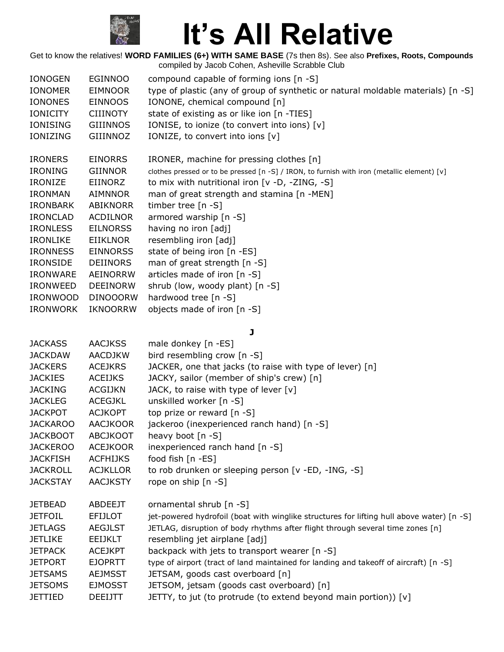

| <b>IONOGEN</b>                                                                                                                                                                                                                               | <b>EGINNOO</b>                                                                                                                                                                                                                               | compound capable of forming ions [n -S]                                                                                                                                                                                                                                                                                                                                                                                                                                          |
|----------------------------------------------------------------------------------------------------------------------------------------------------------------------------------------------------------------------------------------------|----------------------------------------------------------------------------------------------------------------------------------------------------------------------------------------------------------------------------------------------|----------------------------------------------------------------------------------------------------------------------------------------------------------------------------------------------------------------------------------------------------------------------------------------------------------------------------------------------------------------------------------------------------------------------------------------------------------------------------------|
| <b>IONOMER</b>                                                                                                                                                                                                                               | <b>EIMNOOR</b>                                                                                                                                                                                                                               | type of plastic (any of group of synthetic or natural moldable materials) [n -S]                                                                                                                                                                                                                                                                                                                                                                                                 |
| <b>IONONES</b>                                                                                                                                                                                                                               | <b>EINNOOS</b>                                                                                                                                                                                                                               | IONONE, chemical compound [n]                                                                                                                                                                                                                                                                                                                                                                                                                                                    |
| <b>IONICITY</b>                                                                                                                                                                                                                              | <b>CIIINOTY</b>                                                                                                                                                                                                                              | state of existing as or like ion [n -TIES]                                                                                                                                                                                                                                                                                                                                                                                                                                       |
| <b>IONISING</b>                                                                                                                                                                                                                              | <b>GIIINNOS</b>                                                                                                                                                                                                                              | IONISE, to ionize (to convert into ions) [v]                                                                                                                                                                                                                                                                                                                                                                                                                                     |
| IONIZING                                                                                                                                                                                                                                     | GIIINNOZ                                                                                                                                                                                                                                     | IONIZE, to convert into ions [v]                                                                                                                                                                                                                                                                                                                                                                                                                                                 |
| <b>IRONERS</b>                                                                                                                                                                                                                               | <b>EINORRS</b>                                                                                                                                                                                                                               | IRONER, machine for pressing clothes [n]                                                                                                                                                                                                                                                                                                                                                                                                                                         |
| <b>IRONING</b>                                                                                                                                                                                                                               | <b>GIINNOR</b>                                                                                                                                                                                                                               | clothes pressed or to be pressed [n -S] / IRON, to furnish with iron (metallic element) [v]                                                                                                                                                                                                                                                                                                                                                                                      |
| <b>IRONIZE</b>                                                                                                                                                                                                                               | EIINORZ                                                                                                                                                                                                                                      | to mix with nutritional iron [v -D, -ZING, -S]                                                                                                                                                                                                                                                                                                                                                                                                                                   |
| <b>IRONMAN</b>                                                                                                                                                                                                                               | <b>AIMNNOR</b>                                                                                                                                                                                                                               | man of great strength and stamina [n -MEN]                                                                                                                                                                                                                                                                                                                                                                                                                                       |
| <b>IRONBARK</b>                                                                                                                                                                                                                              | <b>ABIKNORR</b>                                                                                                                                                                                                                              | timber tree [n -S]                                                                                                                                                                                                                                                                                                                                                                                                                                                               |
| <b>IRONCLAD</b>                                                                                                                                                                                                                              | <b>ACDILNOR</b>                                                                                                                                                                                                                              | armored warship [n -S]                                                                                                                                                                                                                                                                                                                                                                                                                                                           |
| <b>IRONLESS</b>                                                                                                                                                                                                                              | <b>EILNORSS</b>                                                                                                                                                                                                                              | having no iron [adj]                                                                                                                                                                                                                                                                                                                                                                                                                                                             |
| <b>IRONLIKE</b>                                                                                                                                                                                                                              | <b>EIIKLNOR</b>                                                                                                                                                                                                                              | resembling iron [adj]                                                                                                                                                                                                                                                                                                                                                                                                                                                            |
| <b>IRONNESS</b>                                                                                                                                                                                                                              | <b>EINNORSS</b>                                                                                                                                                                                                                              | state of being iron [n -ES]                                                                                                                                                                                                                                                                                                                                                                                                                                                      |
| <b>IRONSIDE</b>                                                                                                                                                                                                                              | DEIINORS                                                                                                                                                                                                                                     | man of great strength [n -S]                                                                                                                                                                                                                                                                                                                                                                                                                                                     |
| <b>IRONWARE</b>                                                                                                                                                                                                                              | AEINORRW                                                                                                                                                                                                                                     | articles made of iron [n -S]                                                                                                                                                                                                                                                                                                                                                                                                                                                     |
| <b>IRONWEED</b>                                                                                                                                                                                                                              | <b>DEEINORW</b>                                                                                                                                                                                                                              | shrub (low, woody plant) [n -S]                                                                                                                                                                                                                                                                                                                                                                                                                                                  |
| <b>IRONWOOD</b>                                                                                                                                                                                                                              | <b>DINOOORW</b>                                                                                                                                                                                                                              | hardwood tree [n -S]                                                                                                                                                                                                                                                                                                                                                                                                                                                             |
| <b>IRONWORK</b>                                                                                                                                                                                                                              | <b>IKNOORRW</b>                                                                                                                                                                                                                              | objects made of iron [n -S]                                                                                                                                                                                                                                                                                                                                                                                                                                                      |
| <b>JACKASS</b><br><b>JACKDAW</b><br><b>JACKERS</b><br><b>JACKIES</b><br><b>JACKING</b><br><b>JACKLEG</b><br><b>JACKPOT</b><br><b>JACKAROO</b><br><b>JACKBOOT</b><br><b>JACKEROO</b><br><b>JACKFISH</b><br><b>JACKROLL</b><br><b>JACKSTAY</b> | <b>AACJKSS</b><br><b>AACDJKW</b><br><b>ACEJKRS</b><br><b>ACEIJKS</b><br><b>ACGIJKN</b><br><b>ACEGJKL</b><br><b>ACJKOPT</b><br><b>AACJKOOR</b><br><b>ABCJKOOT</b><br><b>ACEJKOOR</b><br><b>ACFHIJKS</b><br><b>ACJKLLOR</b><br><b>AACJKSTY</b> | J<br>male donkey [n -ES]<br>bird resembling crow [n -S]<br>JACKER, one that jacks (to raise with type of lever) [n]<br>JACKY, sailor (member of ship's crew) [n]<br>JACK, to raise with type of lever $[v]$<br>unskilled worker [n -S]<br>top prize or reward [n -S]<br>jackeroo (inexperienced ranch hand) [n -S]<br>heavy boot $[n - S]$<br>inexperienced ranch hand [n -S]<br>food fish [n -ES]<br>to rob drunken or sleeping person [v -ED, -ING, -S]<br>rope on ship [n -S] |
| <b>JETBEAD</b>                                                                                                                                                                                                                               | <b>ABDEEJT</b>                                                                                                                                                                                                                               | ornamental shrub [n -S]                                                                                                                                                                                                                                                                                                                                                                                                                                                          |
| <b>JETFOIL</b>                                                                                                                                                                                                                               | <b>EFIJLOT</b>                                                                                                                                                                                                                               | jet-powered hydrofoil (boat with winglike structures for lifting hull above water) [n -S]                                                                                                                                                                                                                                                                                                                                                                                        |
| <b>JETLAGS</b>                                                                                                                                                                                                                               | <b>AEGJLST</b>                                                                                                                                                                                                                               | JETLAG, disruption of body rhythms after flight through several time zones [n]                                                                                                                                                                                                                                                                                                                                                                                                   |
| <b>JETLIKE</b>                                                                                                                                                                                                                               | <b>EEIJKLT</b>                                                                                                                                                                                                                               | resembling jet airplane [adj]                                                                                                                                                                                                                                                                                                                                                                                                                                                    |
| <b>JETPACK</b>                                                                                                                                                                                                                               | <b>ACEJKPT</b>                                                                                                                                                                                                                               | backpack with jets to transport wearer [n -S]                                                                                                                                                                                                                                                                                                                                                                                                                                    |
| <b>JETPORT</b>                                                                                                                                                                                                                               | <b>EJOPRTT</b>                                                                                                                                                                                                                               | type of airport (tract of land maintained for landing and takeoff of aircraft) [n -S]                                                                                                                                                                                                                                                                                                                                                                                            |
| <b>JETSAMS</b>                                                                                                                                                                                                                               | <b>AEJMSST</b>                                                                                                                                                                                                                               | JETSAM, goods cast overboard [n]                                                                                                                                                                                                                                                                                                                                                                                                                                                 |
| <b>JETSOMS</b>                                                                                                                                                                                                                               | <b>EJMOSST</b>                                                                                                                                                                                                                               | JETSOM, jetsam (goods cast overboard) [n]                                                                                                                                                                                                                                                                                                                                                                                                                                        |
| <b>JETTIED</b>                                                                                                                                                                                                                               | <b>DEEIJTT</b>                                                                                                                                                                                                                               | JETTY, to jut (to protrude (to extend beyond main portion)) [v]                                                                                                                                                                                                                                                                                                                                                                                                                  |